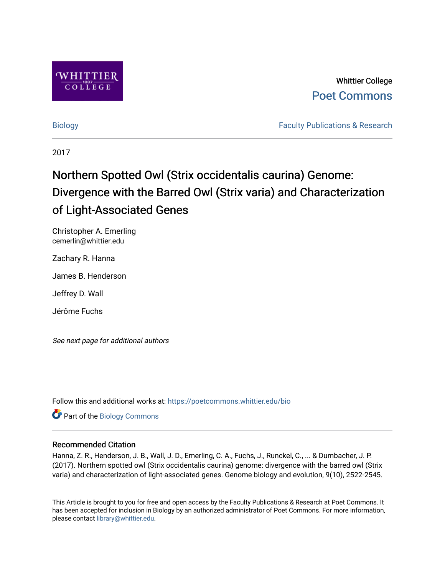

# Whittier College [Poet Commons](https://poetcommons.whittier.edu/)

[Biology](https://poetcommons.whittier.edu/bio) **Faculty Publications & Research** 

2017

# Northern Spotted Owl (Strix occidentalis caurina) Genome: Divergence with the Barred Owl (Strix varia) and Characterization of Light-Associated Genes

Christopher A. Emerling cemerlin@whittier.edu

Zachary R. Hanna

James B. Henderson

Jeffrey D. Wall

Jérôme Fuchs

See next page for additional authors

Follow this and additional works at: [https://poetcommons.whittier.edu/bio](https://poetcommons.whittier.edu/bio?utm_source=poetcommons.whittier.edu%2Fbio%2F25&utm_medium=PDF&utm_campaign=PDFCoverPages)

**Part of the Biology Commons** 

### Recommended Citation

Hanna, Z. R., Henderson, J. B., Wall, J. D., Emerling, C. A., Fuchs, J., Runckel, C., ... & Dumbacher, J. P. (2017). Northern spotted owl (Strix occidentalis caurina) genome: divergence with the barred owl (Strix varia) and characterization of light-associated genes. Genome biology and evolution, 9(10), 2522-2545.

This Article is brought to you for free and open access by the Faculty Publications & Research at Poet Commons. It has been accepted for inclusion in Biology by an authorized administrator of Poet Commons. For more information, please contact [library@whittier.edu](mailto:library@whittier.edu).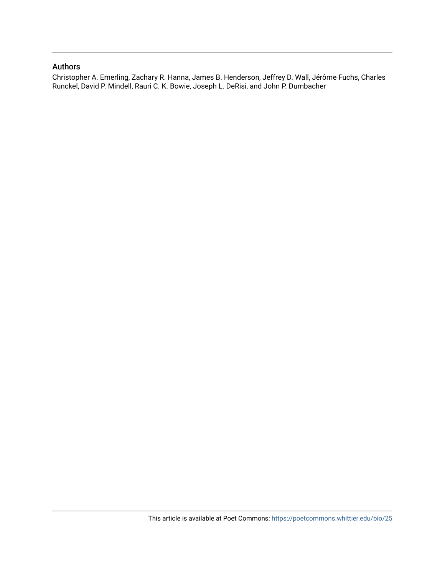### Authors

Christopher A. Emerling, Zachary R. Hanna, James B. Henderson, Jeffrey D. Wall, Jérôme Fuchs, Charles Runckel, David P. Mindell, Rauri C. K. Bowie, Joseph L. DeRisi, and John P. Dumbacher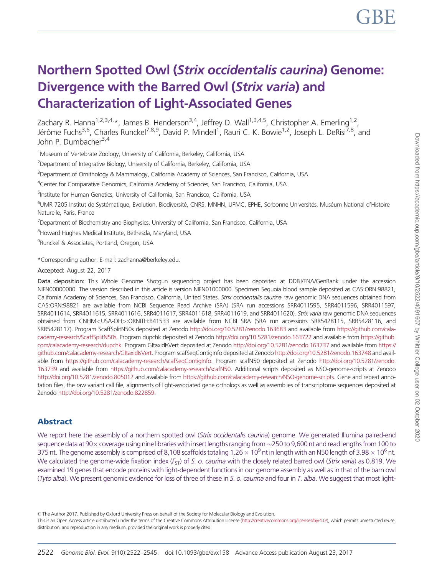# Northern Spotted Owl (Strix occidentalis caurina) Genome: Divergence with the Barred Owl (Strix varia) and Characterization of Light-Associated Genes

Zachary R. Hanna<sup>1,2,3,4,\*</sup>, James B. Henderson<sup>3,4</sup>, Jeffrey D. Wall<sup>1,3,4,5</sup>, Christopher A. Emerling<sup>1,2</sup>, Jérôme Fuchs<sup>3,6</sup>, Charles Runckel<sup>7,8,9</sup>, David P. Mindell<sup>1</sup>, Rauri C. K. Bowie<sup>1,2</sup>, Joseph L. DeRisi<sup>7,8</sup>, and John P. Dumbacher<sup>3,4</sup>

<sup>1</sup>Museum of Vertebrate Zoology, University of California, Berkeley, California, USA

<sup>2</sup>Department of Integrative Biology, University of California, Berkeley, California, USA

3 Department of Ornithology & Mammalogy, California Academy of Sciences, San Francisco, California, USA

<sup>4</sup>Center for Comparative Genomics, California Academy of Sciences, San Francisco, California, USA

<sup>5</sup>Institute for Human Genetics, University of California, San Francisco, California, USA

<sup>6</sup>UMR 7205 Institut de Systématique, Evolution, Biodiversité, CNRS, MNHN, UPMC, EPHE, Sorbonne Universités, Muséum National d'Histoire Naturelle, Paris, France

<sup>7</sup>Department of Biochemistry and Biophysics, University of California, San Francisco, California, USA

<sup>8</sup>Howard Hughes Medical Institute, Bethesda, Maryland, USA

<sup>9</sup>Runckel & Associates, Portland, Oregon, USA

\*Corresponding author: E-mail: zachanna@berkeley.edu.

Accepted: August 22, 2017

Data deposition: This Whole Genome Shotgun sequencing project has been deposited at DDBJ/ENA/GenBank under the accession NIFN00000000. The version described in this article is version NIFN01000000. Specimen Sequoia blood sample deposited as CAS:ORN:98821, California Academy of Sciences, San Francisco, California, United States. Strix occidentalis caurina raw genomic DNA sequences obtained from CAS:ORN:98821 are available from NCBI Sequence Read Archive (SRA) (SRA run accessions SRR4011595, SRR4011596, SRR4011597, SRR4011614, SRR4011615, SRR4011616, SRR4011617, SRR4011618, SRR4011619, and SRR4011620). Strix varia raw genomic DNA sequences obtained from CNHM<USA-OH>:ORNITH:B41533 are available from NCBI SRA (SRA run accessions SRR5428115, SRR5428116, and SRR5428117). Program ScaffSplitN50s deposited at Zenodo http://doi.org/10.5281/zenodo.163683 and available from https://github.com/calacademy-research/ScaffSplitN50s. Program dupchk deposited at Zenodo http://doi.org/10.5281/zenodo.163722 and available from https://github. com/calacademy-research/dupchk. Program GItaxidIsVert deposited at Zenodo http://doi.org/10.5281/zenodo.163737 and available from https:// github.com/calacademy-research/GItaxidIsVert. Program scafSeqContigInfo deposited at Zenodo http://doi.org/10.5281/zenodo.163748 and available from https://github.com/calacademy-research/scafSeqContigInfo. Program scafN50 deposited at Zenodo http://doi.org/10.5281/zenodo. 163739 and available from https://github.com/calacademy-research/scafN50. Additional scripts deposited as NSO-genome-scripts at Zenodo http://doi.org/10.5281/zenodo.805012 and available from https://github.com/calacademy-research/NSO-genome-scripts. Gene and repeat annotation files, the raw variant call file, alignments of light-associated gene orthologs as well as assemblies of transcriptome sequences deposited at Zenodo http://doi.org/10.5281/zenodo.822859.

# Abstract

We report here the assembly of a northern spotted owl (Strix occidentalis caurina) genome. We generated Illumina paired-end sequence data at 90 $\times$  coverage using nine libraries with insert lengths ranging from  $\sim$ 250 to 9,600 nt and read lengths from 100 to 375 nt. The genome assembly is comprised of 8,108 scaffolds totaling 1.26  $\times$  10<sup>9</sup> nt in length with an N50 length of 3.98  $\times$  10<sup>6</sup> nt. We calculated the genome-wide fixation index ( $F_{ST}$ ) of S. o. caurina with the closely related barred owl (Strix varia) as 0.819. We examined 19 genes that encode proteins with light-dependent functions in our genome assembly as well as in that of the barn owl (Tyto alba). We present genomic evidence for loss of three of these in S. o. caurina and four in T. alba. We suggest that most light-

© The Author 2017. Published by Oxford University Press on behalf of the Society for Molecular Biology and Evolution.

This is an Open Access article distributed under the terms of the Creative Commons Attribution License ([http://creativecommons.org/licenses/by/4.0/\)](http://creativecommons.org/licenses/by/4.0/), which permits unrestricted reuse, distribution, and reproduction in any medium, provided the original work is properly cited.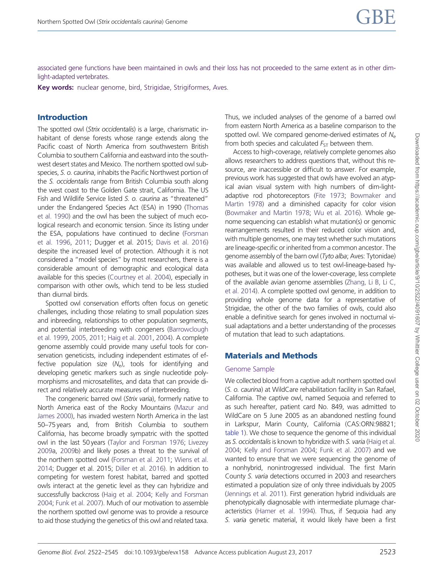associated gene functions have been maintained in owls and their loss has not proceeded to the same extent as in other dimlight-adapted vertebrates.

Key words: nuclear genome, bird, Strigidae, Strigiformes, Aves.

### Introduction

The spotted owl (Strix occidentalis) is a large, charismatic inhabitant of dense forests whose range extends along the Pacific coast of North America from southwestern British Columbia to southern California and eastward into the southwest desert states and Mexico. The northern spotted owl subspecies, S. o. caurina, inhabits the Pacific Northwest portion of the S. occidentalis range from British Columbia south along the west coast to the Golden Gate strait, California. The US Fish and Wildlife Service listed S. o. caurina as "threatened" under the Endangered Species Act (ESA) in 1990 ([Thomas](#page-24-0) [et al. 1990\)](#page-24-0) and the owl has been the subject of much ecological research and economic tension. Since its listing under the ESA, populations have continued to decline [\(Forsman](#page-22-0) [et al. 1996,](#page-22-0) [2011;](#page-22-0) Dugger et al. 2015; [Davis et al. 2016\)](#page-22-0) despite the increased level of protection. Although it is not considered a "model species" by most researchers, there is a considerable amount of demographic and ecological data available for this species [\(Courtney et al. 2004](#page-22-0)), especially in comparison with other owls, which tend to be less studied than diurnal birds.

Spotted owl conservation efforts often focus on genetic challenges, including those relating to small population sizes and inbreeding, relationships to other population segments, and potential interbreeding with congeners [\(Barrowclough](#page-21-0) [et al. 1999](#page-21-0), [2005, 2011;](#page-21-0) [Haig et al. 2001](#page-23-0), [2004](#page-23-0)). A complete genome assembly could provide many useful tools for conservation geneticists, including independent estimates of effective population size  $(N_e)$ , tools for identifying and developing genetic markers such as single nucleotide polymorphisms and microsatellites, and data that can provide direct and relatively accurate measures of interbreeding.

The congeneric barred owl (Strix varia), formerly native to North America east of the Rocky Mountains [\(Mazur and](#page-24-0) [James 2000](#page-24-0)), has invaded western North America in the last 50–75 years and, from British Columbia to southern California, has become broadly sympatric with the spotted owl in the last 50 years [\(Taylor and Forsman 1976;](#page-24-0) [Livezey](#page-23-0) [2009a](#page-23-0), [2009](#page-23-0)b) and likely poses a threat to the survival of the northern spotted owl [\(Forsman et al. 2011](#page-22-0); [Wiens et al.](#page-25-0) [2014;](#page-25-0) Dugger et al. 2015; [Diller et al. 2016\)](#page-22-0). In addition to competing for western forest habitat, barred and spotted owls interact at the genetic level as they can hybridize and successfully backcross [\(Haig et al. 2004](#page-23-0); [Kelly and Forsman](#page-23-0) [2004;](#page-23-0) [Funk et al. 2007\)](#page-23-0). Much of our motivation to assemble the northern spotted owl genome was to provide a resource to aid those studying the genetics of this owl and related taxa.

Thus, we included analyses of the genome of a barred owl from eastern North America as a baseline comparison to the spotted owl. We compared genome-derived estimates of  $N_e$ from both species and calculated  $F_{ST}$  between them.

Access to high-coverage, relatively complete genomes also allows researchers to address questions that, without this resource, are inaccessible or difficult to answer. For example, previous work has suggested that owls have evolved an atypical avian visual system with high numbers of dim-lightadaptive rod photoreceptors [\(Fite 1973;](#page-22-0) [Bowmaker and](#page-22-0) [Martin 1978\)](#page-22-0) and a diminished capacity for color vision [\(Bowmaker and Martin 1978;](#page-22-0) [Wu et al. 2016](#page-25-0)). Whole genome sequencing can establish what mutation(s) or genomic rearrangements resulted in their reduced color vision and, with multiple genomes, one may test whether such mutations are lineage-specific or inherited from a common ancestor. The genome assembly of the barn owl (Tyto alba; Aves: Tytonidae) was available and allowed us to test owl-lineage-based hypotheses, but it was one of the lower-coverage, less complete of the available avian genome assemblies [\(Zhang, Li B, Li C,](#page-25-0) [et al. 2014\)](#page-25-0). A complete spotted owl genome, in addition to providing whole genome data for a representative of Strigidae, the other of the two families of owls, could also enable a definitive search for genes involved in nocturnal visual adaptations and a better understanding of the processes of mutation that lead to such adaptations.

### Materials and Methods

### Genome Sample

We collected blood from a captive adult northern spotted owl (S. o. caurina) at WildCare rehabilitation facility in San Rafael, California. The captive owl, named Sequoia and referred to as such hereafter, patient card No. 849, was admitted to WildCare on 5 June 2005 as an abandoned nestling found in Larkspur, Marin County, California (CAS:ORN:98821; [table 1\)](#page-4-0). We chose to sequence the genome of this individual as S. occidentalis is known to hybridize with S. varia [\(Haig et al.](#page-23-0) [2004;](#page-23-0) [Kelly and Forsman 2004;](#page-23-0) [Funk et al. 2007\)](#page-23-0) and we wanted to ensure that we were sequencing the genome of a nonhybrid, nonintrogressed individual. The first Marin County S. varia detections occurred in 2003 and researchers estimated a population size of only three individuals by 2005 [\(Jennings et al. 2011](#page-23-0)). First generation hybrid individuals are phenotypically diagnosable with intermediate plumage characteristics ([Hamer et al. 1994\)](#page-23-0). Thus, if Sequoia had any S. varia genetic material, it would likely have been a first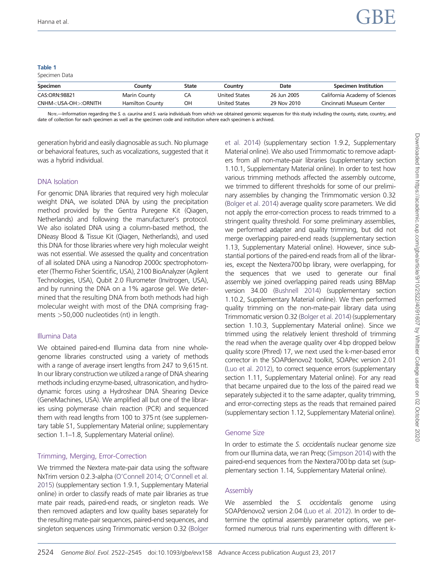### **Tab**

<span id="page-4-0"></span>

| Table 1<br>Specimen Data      |                        |              |                      |             |                                |
|-------------------------------|------------------------|--------------|----------------------|-------------|--------------------------------|
| Specimen                      | County                 | <b>State</b> | Country              | Date        | <b>Specimen Institution</b>    |
| CAS:ORN:98821                 | Marin County           | CA           | <b>United States</b> | 26 Jun 2005 | California Academy of Sciences |
| CNHM <usa-oh>:ORNITH</usa-oh> | <b>Hamilton County</b> | ΟH           | <b>United States</b> | 29 Nov 2010 | Cincinnati Museum Center       |
|                               |                        |              |                      |             |                                |

NorE. Information regarding the S. o. caurina and S. varia individuals from which we obtained genomic sequences for this study including the county, state, country, and date of collection for each specimen as well as the specimen code and institution where each specimen is archived.

generation hybrid and easily diagnosable as such. No plumage or behavioral features, such as vocalizations, suggested that it was a hybrid individual.

### DNA Isolation

For genomic DNA libraries that required very high molecular weight DNA, we isolated DNA by using the precipitation method provided by the Gentra Puregene Kit (Qiagen, Netherlands) and following the manufacturer's protocol. We also isolated DNA using a column-based method, the DNeasy Blood & Tissue Kit (Qiagen, Netherlands), and used this DNA for those libraries where very high molecular weight was not essential. We assessed the quality and concentration of all isolated DNA using a Nanodrop 2000c spectrophotometer (Thermo Fisher Scientific, USA), 2100 BioAnalyzer (Agilent Technologies, USA), Qubit 2.0 Flurometer (Invitrogen, USA), and by running the DNA on a 1% agarose gel. We determined that the resulting DNA from both methods had high molecular weight with most of the DNA comprising fragments >50,000 nucleotides (nt) in length.

### Illumina Data

We obtained paired-end Illumina data from nine wholegenome libraries constructed using a variety of methods with a range of average insert lengths from 247 to 9,615 nt. In our library construction we utilized a range of DNA shearing methods including enzyme-based, ultrasonication, and hydrodynamic forces using a Hydroshear DNA Shearing Device (GeneMachines, USA). We amplified all but one of the libraries using polymerase chain reaction (PCR) and sequenced them with read lengths from 100 to 375 nt (see supplementary table S1, Supplementary Material online; supplementary section 1.1–1.8, Supplementary Material online).

### Trimming, Merging, Error-Correction

We trimmed the Nextera mate-pair data using the software NxTrim version 0.2.3-alpha [\(O'Connell 2014;](#page-24-0) [O'Connell et al.](#page-24-0) [2015](#page-24-0)) (supplementary section 1.9.1, Supplementary Material online) in order to classify reads of mate pair libraries as true mate pair reads, paired-end reads, or singleton reads. We then removed adapters and low quality bases separately for the resulting mate-pair sequences, paired-end sequences, and singleton sequences using Trimmomatic version 0.32 ([Bolger](#page-22-0) [et al. 2014\)](#page-22-0) (supplementary section 1.9.2, Supplementary Material online). We also used Trimmomatic to remove adapters from all non-mate-pair libraries (supplementary section 1.10.1, Supplementary Material online). In order to test how various trimming methods affected the assembly outcome, we trimmed to different thresholds for some of our preliminary assemblies by changing the Trimmomatic version 0.32 [\(Bolger et al. 2014](#page-22-0)) average quality score parameters. We did not apply the error-correction process to reads trimmed to a stringent quality threshold. For some preliminary assemblies, we performed adapter and quality trimming, but did not merge overlapping paired-end reads (supplementary section 1.13, Supplementary Material online). However, since substantial portions of the paired-end reads from all of the libraries, except the Nextera700 bp library, were overlapping, for

the sequences that we used to generate our final assembly we joined overlapping paired reads using BBMap version 34.00 [\(Bushnell 2014\)](#page-22-0) (supplementary section 1.10.2, Supplementary Material online). We then performed quality trimming on the non-mate-pair library data using Trimmomatic version 0.32 ([Bolger et al. 2014\)](#page-22-0) (supplementary section 1.10.3, Supplementary Material online). Since we trimmed using the relatively lenient threshold of trimming the read when the average quality over 4 bp dropped below quality score (Phred) 17, we next used the k-mer-based error corrector in the SOAPdenovo2 toolkit, SOAPec version 2.01 [\(Luo et al. 2012\)](#page-24-0), to correct sequence errors (supplementary section 1.11, Supplementary Material online). For any read that became unpaired due to the loss of the paired read we separately subjected it to the same adapter, quality trimming, and error-correcting steps as the reads that remained paired (supplementary section 1.12, Supplementary Material online).

### Genome Size

In order to estimate the S. occidentalis nuclear genome size from our Illumina data, we ran Preqc [\(Simpson 2014](#page-24-0)) with the paired-end sequences from the Nextera700 bp data set (supplementary section 1.14, Supplementary Material online).

### Assembly

We assembled the S. occidentalis genome using SOAPdenovo2 version 2.04 [\(Luo et al. 2012](#page-24-0)). In order to determine the optimal assembly parameter options, we performed numerous trial runs experimenting with different k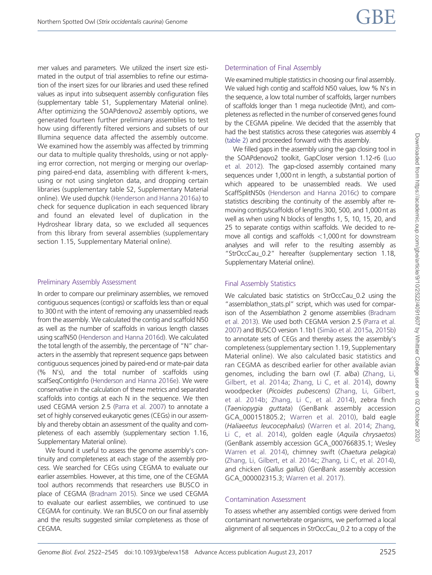mer values and parameters. We utilized the insert size estimated in the output of trial assemblies to refine our estimation of the insert sizes for our libraries and used these refined values as input into subsequent assembly configuration files (supplementary table S1, Supplementary Material online). After optimizing the SOAPdenovo2 assembly options, we generated fourteen further preliminary assemblies to test how using differently filtered versions and subsets of our Illumina sequence data affected the assembly outcome. We examined how the assembly was affected by trimming our data to multiple quality thresholds, using or not applying error correction, not merging or merging our overlapping paired-end data, assembling with different k-mers, using or not using singleton data, and dropping certain libraries (supplementary table S2, Supplementary Material online). We used dupchk [\(Henderson and Hanna 2016a](#page-23-0)) to check for sequence duplication in each sequenced library and found an elevated level of duplication in the Hydroshear library data, so we excluded all sequences from this library from several assemblies (supplementary section 1.15, Supplementary Material online).

### Preliminary Assembly Assessment

In order to compare our preliminary assemblies, we removed contiguous sequences (contigs) or scaffolds less than or equal to 300 nt with the intent of removing any unassembled reads from the assembly. We calculated the contig and scaffold N50 as well as the number of scaffolds in various length classes using scafN50 [\(Henderson and Hanna 2016d](#page-23-0)). We calculated the total length of the assembly, the percentage of "N" characters in the assembly that represent sequence gaps between contiguous sequences joined by paired-end or mate-pair data (% N's), and the total number of scaffolds using scafSeqContigInfo ([Henderson and Hanna 2016e](#page-23-0)). We were conservative in the calculation of these metrics and separated scaffolds into contigs at each N in the sequence. We then used CEGMA version 2.5 ([Parra et al. 2007](#page-24-0)) to annotate a set of highly conserved eukaryotic genes (CEGs) in our assembly and thereby obtain an assessment of the quality and completeness of each assembly (supplementary section 1.16, Supplementary Material online).

We found it useful to assess the genome assembly's continuity and completeness at each stage of the assembly process. We searched for CEGs using CEGMA to evaluate our earlier assemblies. However, at this time, one of the CEGMA tool authors recommends that researchers use BUSCO in place of CEGMA [\(Bradnam 2015\)](#page-22-0). Since we used CEGMA to evaluate our earliest assemblies, we continued to use CEGMA for continuity. We ran BUSCO on our final assembly and the results suggested similar completeness as those of CEGMA.

### Determination of Final Assembly

We examined multiple statistics in choosing our final assembly. We valued high contig and scaffold N50 values, low % N's in the sequence, a low total number of scaffolds, larger numbers of scaffolds longer than 1 mega nucleotide (Mnt), and completeness as reflected in the number of conserved genes found by the CEGMA pipeline. We decided that the assembly that had the best statistics across these categories was assembly 4 [\(table 2](#page-6-0)) and proceeded forward with this assembly.

We filled gaps in the assembly using the gap closing tool in the SOAPdenovo2 toolkit, GapCloser version 1.12-r6 ([Luo](#page-24-0) [et al. 2012](#page-24-0)). The gap-closed assembly contained many sequences under 1,000 nt in length, a substantial portion of which appeared to be unassembled reads. We used ScaffSplitN50s ([Henderson and Hanna 2016c](#page-23-0)) to compare statistics describing the continuity of the assembly after removing contigs/scaffolds of lengths 300, 500, and 1,000 nt as well as when using N blocks of lengths 1, 5, 10, 15, 20, and 25 to separate contigs within scaffolds. We decided to remove all contigs and scaffolds <1,000 nt for downstream analyses and will refer to the resulting assembly as "StrOccCau\_0.2" hereafter (supplementary section 1.18, Supplementary Material online).

### Final Assembly Statistics

We calculated basic statistics on StrOccCau 0.2 using the "assemblathon\_stats.pl" script, which was used for comparison of the Assemblathon 2 genome assemblies ([Bradnam](#page-22-0) [et al. 2013](#page-22-0)). We used both CEGMA version 2.5 [\(Parra et al.](#page-24-0) [2007\)](#page-24-0) and BUSCO version 1.1b1 ([Sim](#page-24-0)ã[o et al. 2015a](#page-24-0), [2015b](#page-24-0)) to annotate sets of CEGs and thereby assess the assembly's completeness (supplementary section 1.19, Supplementary Material online). We also calculated basic statistics and ran CEGMA as described earlier for other available avian genomes, including the barn owl (T. alba) [\(Zhang, Li,](#page-25-0) [Gilbert, et al. 2014a;](#page-25-0) [Zhang, Li C, et al. 2014](#page-25-0)), downy woodpecker (Picoides pubescens) ([Zhang, Li, Gilbert,](#page-25-0) [et al. 2014b](#page-25-0); [Zhang, Li C, et al. 2014](#page-25-0)), zebra finch (Taeniopygia guttata) (GenBank assembly accession GCA\_000151805.2; [Warren et al. 2010](#page-25-0)), bald eagle (Haliaeetus leucocephalus) ([Warren et al. 2014](#page-25-0); [Zhang,](#page-25-0) [Li C, et al. 2014](#page-25-0)), golden eagle (Aquila chrysaetos) (GenBank assembly accession GCA\_000766835.1; Wesley [Warren et al. 2014](#page-25-0)), chimney swift (Chaetura pelagica) [\(Zhang, Li, Gilbert, et al. 2014c;](#page-25-0) [Zhang, Li C, et al. 2014\)](#page-25-0), and chicken (Gallus gallus) (GenBank assembly accession GCA\_000002315.3; [Warren et al. 2017\)](#page-25-0).

### Contamination Assessment

To assess whether any assembled contigs were derived from contaminant nonvertebrate organisms, we performed a local alignment of all sequences in StrOccCau\_0.2 to a copy of the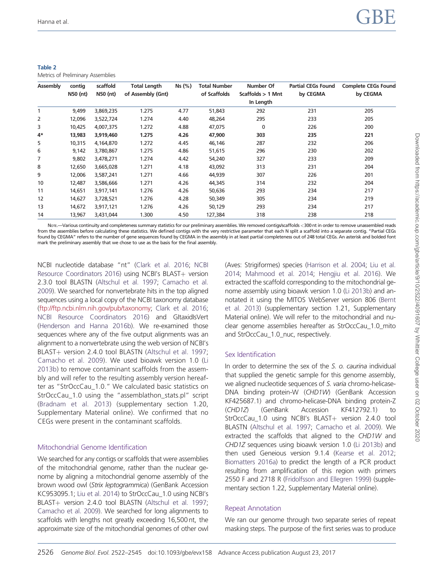| Assembly | contig   | scaffold  | <b>Total Length</b> | Ns(%) | <b>Total Number</b> | Number Of           | <b>Partial CEGs Found</b> | <b>Complete CEGs Found</b> |
|----------|----------|-----------|---------------------|-------|---------------------|---------------------|---------------------------|----------------------------|
|          | N50 (nt) | N50 (nt)  | of Assembly (Gnt)   |       | of Scaffolds        | Scaffolds $> 1$ Mnt | by CEGMA                  | by CEGMA                   |
|          |          |           |                     |       |                     | In Length           |                           |                            |
|          | 9,499    | 3,869,235 | 1.275               | 4.77  | 51,843              | 292                 | 231                       | 205                        |
| 2        | 12,096   | 3,522,724 | 1.274               | 4.40  | 48,264              | 295                 | 233                       | 205                        |
| 3        | 10.425   | 4,007,375 | 1.272               | 4.88  | 47,075              | 0                   | 226                       | 200                        |
| 4*       | 13,983   | 3,919,460 | 1.275               | 4.26  | 47,900              | 303                 | 235                       | 221                        |
| 5        | 10,315   | 4,164,870 | 1.272               | 4.45  | 46,146              | 287                 | 232                       | 206                        |
| 6        | 9,142    | 3,780,867 | 1.275               | 4.86  | 51,615              | 296                 | 230                       | 202                        |
| 7        | 9,802    | 3,478,271 | 1.274               | 4.42  | 54,240              | 327                 | 233                       | 209                        |
| 8        | 12,650   | 3,665,028 | 1.271               | 4.18  | 43,092              | 313                 | 231                       | 204                        |
| 9        | 12,006   | 3,587,241 | 1.271               | 4.66  | 44,939              | 307                 | 226                       | 201                        |
| 10       | 12,487   | 3,586,666 | 1.271               | 4.26  | 44,345              | 314                 | 232                       | 204                        |
| 11       | 14,651   | 3,917,141 | 1.276               | 4.26  | 50,636              | 293                 | 234                       | 217                        |
| 12       | 14,627   | 3,728,521 | 1.276               | 4.28  | 50,349              | 305                 | 234                       | 219                        |
| 13       | 14,672   | 3,917,121 | 1.276               | 4.26  | 50,129              | 293                 | 234                       | 217                        |
| 14       | 13,967   | 3,431,044 | 1.300               | 4.50  | 127,384             | 318                 | 238                       | 218                        |

<span id="page-6-0"></span>Table 2 Metrics of Preliminary Assemblies

NorE--Various continuity and completeness summary statistics for our preliminary assemblies. We removed contigs/scaffolds <300 nt in order to remove unassembled reads from the assemblies before calculating these statistics. We defined contigs with the very restrictive parameter that each N split a scaffold into a separate contig. "Partial CEGs found by CEGMA" refers to the number of gene sequences found by CEGMA in the assembly in at least partial completeness out of 248 total CEGs. An asterisk and bolded font mark the preliminary assembly that we chose to use as the basis for the final assembly.

NCBI nucleotide database "nt" [\(Clark et al. 2016](#page-22-0); [NCBI](#page-24-0) [Resource Coordinators 2016\)](#page-24-0) using NCBI's BLAST+ version 2.3.0 tool BLASTN ([Altschul et al. 1997](#page-21-0); [Camacho et al.](#page-22-0) [2009](#page-22-0)). We searched for nonvertebrate hits in the top aligned sequences using a local copy of the NCBI taxonomy database [\(ftp://ftp.ncbi.nlm.nih.gov/pub/taxonomy;](http://ftp://ftp.ncbi.nlm.nih.gov/pub/taxonomy) [Clark et al. 2016;](#page-22-0) [NCBI Resource Coordinators 2016](#page-24-0)) and GItaxidIsVert [\(Henderson and Hanna 2016b\)](#page-23-0). We re-examined those sequences where any of the five output alignments was an alignment to a nonvertebrate using the web version of NCBI's BLAST+ version 2.4.0 tool BLASTN ([Altschul et al. 1997;](#page-21-0) [Camacho et al. 2009](#page-22-0)). We used bioawk version 1.0 [\(Li](#page-23-0) [2013b](#page-23-0)) to remove contaminant scaffolds from the assembly and will refer to the resulting assembly version hereafter as "StrOccCau\_1.0." We calculated basic statistics on StrOccCau\_1.0 using the "assemblathon\_stats.pl" script [\(Bradnam et al. 2013](#page-22-0)) (supplementary section 1.20, Supplementary Material online). We confirmed that no CEGs were present in the contaminant scaffolds.

### Mitochondrial Genome Identification

We searched for any contigs or scaffolds that were assemblies of the mitochondrial genome, rather than the nuclear genome by aligning a mitochondrial genome assembly of the brown wood owl (Strix leptogrammica) (GenBank Accession KC953095.1; [Liu et al. 2014](#page-23-0)) to StrOccCau\_1.0 using NCBI's BLAST+ version 2.4.0 tool BLASTN [\(Altschul et al. 1997;](#page-21-0) [Camacho et al. 2009\)](#page-22-0). We searched for long alignments to scaffolds with lengths not greatly exceeding 16,500 nt, the approximate size of the mitochondrial genomes of other owl (Aves: Strigiformes) species [\(Harrison et al. 2004;](#page-23-0) [Liu et al.](#page-23-0) [2014;](#page-23-0) [Mahmood et al. 2014;](#page-24-0) [Hengjiu et al. 2016](#page-23-0)). We extracted the scaffold corresponding to the mitochondrial genome assembly using bioawk version 1.0 [\(Li 2013b](#page-23-0)) and annotated it using the MITOS WebServer version 806 [\(Bernt](#page-22-0) [et al. 2013\)](#page-22-0) (supplementary section 1.21, Supplementary Material online). We will refer to the mitochondrial and nuclear genome assemblies hereafter as StrOccCau\_1.0\_mito and StrOccCau\_1.0\_nuc, respectively.

### Sex Identification

In order to determine the sex of the S. o. caurina individual that supplied the genetic sample for this genome assembly, we aligned nucleotide sequences of S. varia chromo-helicase-DNA binding protein-W (CHD1W) (GenBank Accession KF425687.1) and chromo-helicase-DNA binding protein-Z (CHD1Z) (GenBank Accession KF412792.1) to StrOccCau\_1.0 using NCBI's BLAST+ version 2.4.0 tool BLASTN [\(Altschul et al. 1997;](#page-21-0) [Camacho et al. 2009\)](#page-22-0). We extracted the scaffolds that aligned to the CHD1W and CHD1Z sequences using bioawk version 1.0 [\(Li 2013b](#page-23-0)) and then used Geneious version 9.1.4 ([Kearse et al. 2012](#page-23-0); [Biomatters 2016a](#page-22-0)) to predict the length of a PCR product resulting from amplification of this region with primers 2550 F and 2718 R [\(Fridolfsson and Ellegren 1999](#page-22-0)) (supplementary section 1.22, Supplementary Material online).

### Repeat Annotation

We ran our genome through two separate series of repeat masking steps. The purpose of the first series was to produce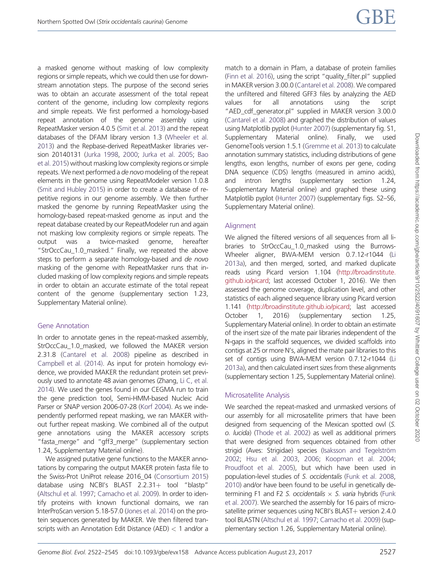a masked genome without masking of low complexity regions or simple repeats, which we could then use for downstream annotation steps. The purpose of the second series was to obtain an accurate assessment of the total repeat content of the genome, including low complexity regions and simple repeats. We first performed a homology-based repeat annotation of the genome assembly using RepeatMasker version 4.0.5 [\(Smit et al. 2013](#page-24-0)) and the repeat databases of the DFAM library version 1.3 [\(Wheeler et al.](#page-25-0) [2013](#page-25-0)) and the Repbase-derived RepeatMasker libraries version 20140131 ([Jurka 1998](#page-23-0), [2000;](#page-23-0) [Jurka et al. 2005;](#page-23-0) [Bao](#page-21-0) [et al. 2015](#page-21-0)) without masking low complexity regions or simple repeats. We next performed a de novo modeling of the repeat elements in the genome using RepeatModeler version 1.0.8 [\(Smit and Hubley 2015](#page-24-0)) in order to create a database of repetitive regions in our genome assembly. We then further masked the genome by running RepeatMasker using the homology-based repeat-masked genome as input and the repeat database created by our RepeatModeler run and again not masking low complexity regions or simple repeats. The output was a twice-masked genome, hereafter "StrOccCau\_1.0\_masked." Finally, we repeated the above steps to perform a separate homology-based and de novo masking of the genome with RepeatMasker runs that included masking of low complexity regions and simple repeats in order to obtain an accurate estimate of the total repeat content of the genome (supplementary section 1.23, Supplementary Material online).

### Gene Annotation

In order to annotate genes in the repeat-masked assembly, StrOccCau\_1.0\_masked, we followed the MAKER version 2.31.8 [\(Cantarel et al. 2008\)](#page-22-0) pipeline as described in [Campbell et al. \(2014\).](#page-22-0) As input for protein homology evidence, we provided MAKER the redundant protein set previously used to annotate 48 avian genomes (Zhang, [Li C, et al.](#page-23-0) [2014](#page-23-0)). We used the genes found in our CEGMA run to train the gene prediction tool, Semi-HMM-based Nucleic Acid Parser or SNAP version 2006-07-28 ([Korf 2004](#page-23-0)). As we independently performed repeat masking, we ran MAKER without further repeat masking. We combined all of the output gene annotations using the MAKER accessory scripts "fasta\_merge" and "gff3\_merge" (supplementary section 1.24, Supplementary Material online).

We assigned putative gene functions to the MAKER annotations by comparing the output MAKER protein fasta file to the Swiss-Prot UniProt release 2016\_04 [\(Consortium 2015\)](#page-22-0) database using NCBI's BLAST  $2.2.31+$  tool "blastp" [\(Altschul et al. 1997](#page-21-0); [Camacho et al. 2009](#page-22-0)). In order to identify proteins with known functional domains, we ran InterProScan version 5.18-57.0 ([Jones et al. 2014](#page-23-0)) on the protein sequences generated by MAKER. We then filtered transcripts with an Annotation Edit Distance (AED)  $<$  1 and/or a match to a domain in Pfam, a database of protein families [\(Finn et al. 2016\)](#page-22-0), using the script "quality\_filter.pl" supplied in MAKER version 3.00.0 [\(Cantarel et al. 2008](#page-22-0)). We compared the unfiltered and filtered GFF3 files by analyzing the AED values for all annotations using the script "AED\_cdf\_generator.pl" supplied in MAKER version 3.00.0 [\(Cantarel et al. 2008](#page-22-0)) and graphed the distribution of values using Matplotlib pyplot ([Hunter 2007\)](#page-23-0) (supplementary fig. S1, Supplementary Material online). Finally, we used GenomeTools version 1.5.1 [\(Gremme et al. 2013](#page-23-0)) to calculate annotation summary statistics, including distributions of gene lengths, exon lengths, number of exons per gene, coding DNA sequence (CDS) lengths (measured in amino acids), and intron lengths (supplementary section 1.24, Supplementary Material online) and graphed these using Matplotlib pyplot [\(Hunter 2007](#page-23-0)) (supplementary figs. S2–S6, Supplementary Material online).

### Alignment

We aligned the filtered versions of all sequences from all libraries to StrOccCau\_1.0\_masked using the Burrows-Wheeler aligner, BWA-MEM version 0.7.12-r1044 [\(Li](#page-23-0) [2013a](#page-23-0)), and then merged, sorted, and marked duplicate reads using Picard version 1.104 ([http://broadinstitute.](http://broadinstitute.github.io/picard) [github.io/picard](http://broadinstitute.github.io/picard); last accessed October 1, 2016). We then assessed the genome coverage, duplication level, and other statistics of each aligned sequence library using Picard version 1.141 (<http://broadinstitute.github.io/picard>; last accessed October 1, 2016) (supplementary section 1.25, Supplementary Material online). In order to obtain an estimate of the insert size of the mate pair libraries independent of the N-gaps in the scaffold sequences, we divided scaffolds into contigs at 25 or more N's, aligned the mate pair libraries to this set of contigs using BWA-MEM version 0.7.12-r1044 [\(Li](#page-23-0) [2013a\)](#page-23-0), and then calculated insert sizes from these alignments (supplementary section 1.25, Supplementary Material online).

### Microsatellite Analysis

We searched the repeat-masked and unmasked versions of our assembly for all microsatellite primers that have been designed from sequencing of the Mexican spotted owl (S. o. lucida) [\(Thode et al. 2002\)](#page-24-0) as well as additional primers that were designed from sequences obtained from other strigid (Aves: Strigidae) species (Isaksson and Tegelström [2002;](#page-23-0) [Hsu et al. 2003,](#page-23-0) [2006;](#page-23-0) [Koopman et al. 2004](#page-23-0); [Proudfoot et al. 2005](#page-24-0)), but which have been used in population-level studies of S. occidentalis [\(Funk et al. 2008](#page-22-0), [2010\)](#page-22-0) and/or have been found to be useful in genetically determining F1 and F2 S. occidentalis  $\times$  S. varia hybrids [\(Funk](#page-23-0) [et al. 2007\)](#page-23-0). We searched the assembly for 16 pairs of microsatellite primer sequences using NCBI's BLAST $+$  version 2.4.0 tool BLASTN [\(Altschul et al. 1997;](#page-21-0) [Camacho et al. 2009](#page-22-0)) (supplementary section 1.26, Supplementary Material online).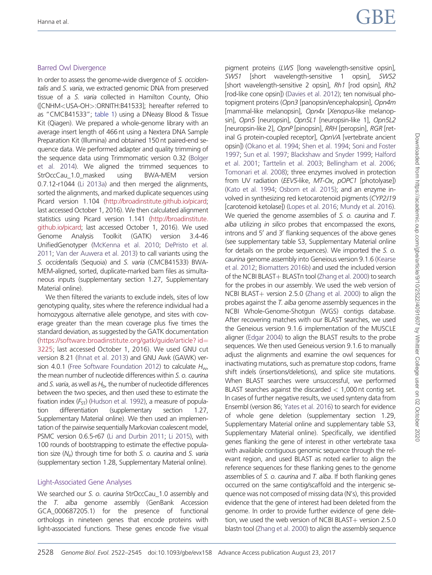### Barred Owl Divergence

In order to assess the genome-wide divergence of S. occidentalis and S. varia, we extracted genomic DNA from preserved tissue of a S. varia collected in Hamilton County, Ohio ([CNHM<USA-OH>:ORNITH:B41533]; hereafter referred to as "CMCB41533"; [table 1](#page-4-0)) using a DNeasy Blood & Tissue Kit (Qiagen). We prepared a whole-genome library with an average insert length of 466 nt using a Nextera DNA Sample Preparation Kit (Illumina) and obtained 150 nt paired-end sequence data. We performed adapter and quality trimming of the sequence data using Trimmomatic version 0.32 ([Bolger](#page-22-0) [et al. 2014](#page-22-0)). We aligned the trimmed sequences to StrOccCau\_1.0\_masked using BWA-MEM version 0.7.12-r1044 ([Li 2013a\)](#page-23-0) and then merged the alignments, sorted the alignments, and marked duplicate sequences using Picard version 1.104 ([http://broadinstitute.github.io/picard;](http://broadinstitute.github.io/picard) last accessed October 1, 2016). We then calculated alignment statistics using Picard version 1.141 [\(http://broadinstitute.](http://broadinstitute.github.io/picard) [github.io/picard;](http://broadinstitute.github.io/picard) last accessed October 1, 2016). We used Genome Analysis Toolkit (GATK) version 3.4-46 UnifiedGenotyper ([McKenna et al. 2010;](#page-24-0) [DePristo et al.](#page-22-0) [2011;](#page-22-0) [Van der Auwera et al. 2013](#page-24-0)) to call variants using the S. occidentalis (Sequoia) and S. varia (CMCB41533) BWA-MEM-aligned, sorted, duplicate-marked bam files as simultaneous inputs (supplementary section 1.27, Supplementary Material online).

We then filtered the variants to exclude indels, sites of low genotyping quality, sites where the reference individual had a homozygous alternative allele genotype, and sites with coverage greater than the mean coverage plus five times the standard deviation, as suggested by the GATK documentation  $(\text{https://software.broadinstitute.org/gatk/guide/article? id=$ [3225;](https://software.broadinstitute.org/gatk/guide/article? id=3225) last accessed October 1, 2016). We used GNU cut version 8.21 ([Ihnat et al. 2013](#page-23-0)) and GNU Awk (GAWK) ver-sion 4.0.1 [\(Free Software Foundation 2012\)](#page-22-0) to calculate  $H_{\text{w}}$ , the mean number of nucleotide differences within S. o. caurina and S. varia, as well as  $H<sub>b</sub>$ , the number of nucleotide differences between the two species, and then used these to estimate the fixation index  $(F<sub>ST</sub>)$  [\(Hudson et al. 1992](#page-23-0)), a measure of population differentiation (supplementary section 1.27, Supplementary Material online). We then used an implementation of the pairwise sequentially Markovian coalescent model, PSMC version 0.6.5-r67 [\(Li and Durbin 2011;](#page-23-0) [Li 2015\)](#page-23-0), with 100 rounds of bootstrapping to estimate the effective population size  $(N_e)$  through time for both S. o. caurina and S. varia (supplementary section 1.28, Supplementary Material online).

### Light-Associated Gene Analyses

We searched our S. o. caurina StrOccCau\_1.0 assembly and the T. alba genome assembly (GenBank Accession GCA\_000687205.1) for the presence of functional orthologs in nineteen genes that encode proteins with light-associated functions. These genes encode five visual pigment proteins (LWS [long wavelength-sensitive opsin], SWS1 [short wavelength-sensitive 1 opsin], SWS2 [short wavelength-sensitive 2 opsin], Rh1 [rod opsin], Rh2 [rod-like cone opsin]) ([Davies et al. 2012\)](#page-22-0); ten nonvisual photopigment proteins (Opn3 [panopsin/encephalopsin], Opn4m [mammal-like melanopsin], Opn4x [Xenopus-like melanopsin], Opn5 [neuropsin], Opn5L1 [neuropsin-like 1], Opn5L2 [neuropsin-like 2], OpnP [pinopsin], RRH [peropsin], RGR [retinal G protein-coupled receptor], OpnVA [vertebrate ancient opsin]) [\(Okano et al. 1994;](#page-24-0) [Shen et al. 1994;](#page-24-0) [Soni and Foster](#page-24-0) [1997;](#page-24-0) [Sun et al. 1997;](#page-24-0) [Blackshaw and Snyder 1999;](#page-22-0) [Halford](#page-23-0) [et al. 2001;](#page-23-0) [Tarttelin et al. 2003;](#page-24-0) [Bellingham et al. 2006](#page-22-0); [Tomonari et al. 2008](#page-24-0)); three enzymes involved in protection from UV radiation (*EEVS*-like, *MT-Ox, pOPC1* [photolyase]) [\(Kato et al. 1994](#page-23-0); [Osborn et al. 2015](#page-24-0)); and an enzyme involved in synthesizing red ketocarotenoid pigments (CYP2J19 [carotenoid ketolase]) [\(Lopes et al. 2016](#page-24-0); [Mundy et al. 2016\)](#page-24-0). We queried the genome assemblies of S. o. caurina and T. alba utilizing in silico probes that encompassed the exons,  $introns$  and 5 $^{\prime}$  and 3 $^{\prime}$  flanking sequences of the above genes (see supplementary table S3, Supplementary Material online for details on the probe sequences). We imported the S. o. caurina genome assembly into Geneious version 9.1.6 [\(Kearse](#page-23-0) [et al. 2012;](#page-23-0) [Biomatters 2016b\)](#page-22-0) and used the included version of the NCBI BLAST+ BLASTn tool [\(Zhang et al. 2000\)](#page-25-0) to search for the probes in our assembly. We used the web version of NCBI BLAST+ version 2.5.0 [\(Zhang et al. 2000\)](#page-25-0) to align the probes against the T. alba genome assembly sequences in the NCBI Whole-Genome-Shotgun (WGS) contigs database. After recovering matches with our BLAST searches, we used the Geneious version 9.1.6 implementation of the MUSCLE aligner [\(Edgar 2004](#page-22-0)) to align the BLAST results to the probe sequences. We then used Geneious version 9.1.6 to manually adjust the alignments and examine the owl sequences for inactivating mutations, such as premature stop codons, frame shift indels (insertions/deletions), and splice site mutations. When BLAST searches were unsuccessful, we performed BLAST searches against the discarded  $<$  1,000 nt contig set. In cases of further negative results, we used synteny data from Ensembl (version 86; [Yates et al. 2016\)](#page-25-0) to search for evidence of whole gene deletion (supplementary section 1.29, Supplementary Material online and supplementary table S3, Supplementary Material online). Specifically, we identified genes flanking the gene of interest in other vertebrate taxa with available contiguous genomic sequence through the relevant region, and used BLAST as noted earlier to align the reference sequences for these flanking genes to the genome assemblies of S. o. caurina and T. alba. If both flanking genes occurred on the same contig/scaffold and the intergenic sequence was not composed of missing data (N's), this provided evidence that the gene of interest had been deleted from the genome. In order to provide further evidence of gene deletion, we used the web version of NCBI BLAST $+$  version 2.5.0 blastn tool [\(Zhang et al. 2000](#page-25-0)) to align the assembly sequence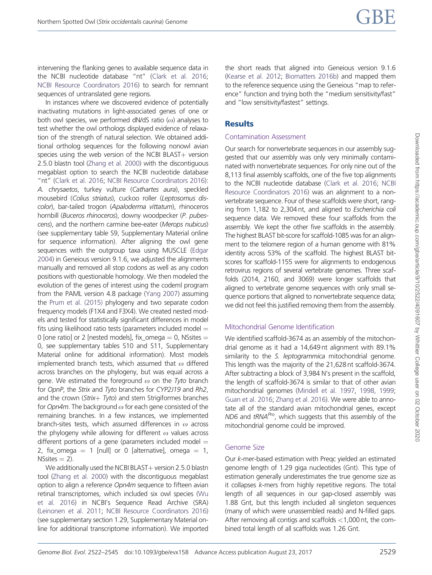intervening the flanking genes to available sequence data in the NCBI nucleotide database "nt" ([Clark et al. 2016;](#page-22-0) [NCBI Resource Coordinators 2016\)](#page-24-0) to search for remnant sequences of untranslated gene regions.

In instances where we discovered evidence of potentially inactivating mutations in light-associated genes of one or both owl species, we performed dN/dS ratio  $(\omega)$  analyses to test whether the owl orthologs displayed evidence of relaxation of the strength of natural selection. We obtained additional ortholog sequences for the following nonowl avian species using the web version of the NCBI BLAST $+$  version 2.5.0 blastn tool [\(Zhang et al. 2000](#page-25-0)) with the discontiguous megablast option to search the NCBI nucleotide database "nt" [\(Clark et al. 2016](#page-22-0); [NCBI Resource Coordinators 2016](#page-24-0)): A. chrysaetos, turkey vulture (Cathartes aura), speckled mousebird (Colius striatus), cuckoo roller (Leptosomus discolor), bar-tailed trogon (Apaloderma vittatum), rhinoceros hornbill (Buceros rhinoceros), downy woodpecker (P. pubescens), and the northern carmine bee-eater (Merops nubicus) (see supplementary table S9, Supplementary Material online for sequence information). After aligning the owl gene sequences with the outgroup taxa using MUSCLE [\(Edgar](#page-22-0) [2004](#page-22-0)) in Geneious version 9.1.6, we adjusted the alignments manually and removed all stop codons as well as any codon positions with questionable homology. We then modeled the evolution of the genes of interest using the codeml program from the PAML version 4.8 package [\(Yang 2007](#page-25-0)) assuming the [Prum et al. \(2015\)](#page-24-0) phylogeny and two separate codon frequency models (F1X4 and F3X4). We created nested models and tested for statistically significant differences in model fits using likelihood ratio tests (parameters included model  $=$ 0 [one ratio] or 2 [nested models], fix\_omega  $=$  0, NSsites  $=$ 0, see supplementary tables S10 and S11, Supplementary Material online for additional information). Most models implemented branch tests, which assumed that  $\omega$  differed across branches on the phylogeny, but was equal across a gene. We estimated the foreground  $\omega$  on the Tyto branch for OpnP, the Strix and Tyto branches for CYP2J19 and Rh2, and the crown (Strix + Tyto) and stem Strigiformes branches for Opn4m. The background  $\omega$  for each gene consisted of the remaining branches. In a few instances, we implemented branch-sites tests, which assumed differences in  $\omega$  across the phylogeny while allowing for different  $\omega$  values across different portions of a gene (parameters included model  $=$ 2, fix omega  $= 1$  [null] or 0 [alternative], omega  $= 1$ ,  $NS sites = 2$ ).

We additionally used the NCBI BLAST $+$  version 2.5.0 blastn tool [\(Zhang et al. 2000](#page-25-0)) with the discontiguous megablast option to align a reference Opn4m sequence to fifteen avian retinal transcriptomes, which included six owl species [\(Wu](#page-25-0) [et al. 2016\)](#page-25-0) in NCBI's Sequence Read Archive (SRA) [\(Leinonen et al. 2011;](#page-23-0) [NCBI Resource Coordinators 2016\)](#page-24-0) (see supplementary section 1.29, Supplementary Material online for additional transcriptome information). We imported

the short reads that aligned into Geneious version 9.1.6 [\(Kearse et al. 2012](#page-23-0); [Biomatters 2016b](#page-22-0)) and mapped them to the reference sequence using the Geneious "map to reference" function and trying both the "medium sensitivity/fast" and "low sensitivity/fastest" settings.

### **Results**

### Contamination Assessment

Our search for nonvertebrate sequences in our assembly suggested that our assembly was only very minimally contaminated with nonvertebrate sequences. For only nine out of the 8,113 final assembly scaffolds, one of the five top alignments to the NCBI nucleotide database ([Clark et al. 2016;](#page-22-0) [NCBI](#page-24-0) [Resource Coordinators 2016\)](#page-24-0) was an alignment to a nonvertebrate sequence. Four of these scaffolds were short, ranging from 1,182 to 2,304 nt, and aligned to Escherichia coli sequence data. We removed these four scaffolds from the assembly. We kept the other five scaffolds in the assembly. The highest BLAST bit-score for scaffold-1085 was for an alignment to the telomere region of a human genome with 81% identity across 53% of the scaffold. The highest BLAST bitscores for scaffold-1155 were for alignments to endogenous retrovirus regions of several vertebrate genomes. Three scaffolds (2014, 2160, and 3069) were longer scaffolds that aligned to vertebrate genome sequences with only small sequence portions that aligned to nonvertebrate sequence data; we did not feel this justified removing them from the assembly.

### Mitochondrial Genome Identification

We identified scaffold-3674 as an assembly of the mitochondrial genome as it had a 14,649 nt alignment with 89.1% similarity to the S. leptogrammica mitochondrial genome. This length was the majority of the 21,628 nt scaffold-3674. After subtracting a block of 3,984 N's present in the scaffold, the length of scaffold-3674 is similar to that of other avian mitochondrial genomes [\(Mindell et al. 1997,](#page-24-0) [1998, 1999](#page-24-0); [Guan et al. 2016;](#page-23-0) [Zhang et al. 2016](#page-25-0)). We were able to annotate all of the standard avian mitochondrial genes, except  $NDS$  and  $tRNA^{Pro}$ , which suggests that this assembly of the mitochondrial genome could be improved.

### Genome Size

Our k-mer-based estimation with Preqc yielded an estimated genome length of 1.29 giga nucleotides (Gnt). This type of estimation generally underestimates the true genome size as it collapses k-mers from highly repetitive regions. The total length of all sequences in our gap-closed assembly was 1.88 Gnt, but this length included all singleton sequences (many of which were unassembled reads) and N-filled gaps. After removing all contigs and scaffolds <1,000 nt, the combined total length of all scaffolds was 1.26 Gnt.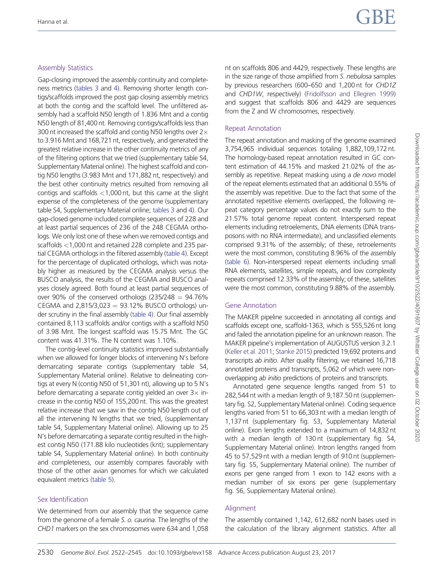### Assembly Statistics

Gap-closing improved the assembly continuity and completeness metrics [\(tables 3](#page-11-0) and [4](#page-12-0)). Removing shorter length contigs/scaffolds improved the post gap closing assembly metrics at both the contig and the scaffold level. The unfiltered assembly had a scaffold N50 length of 1.836 Mnt and a contig N50 length of 81,400 nt. Removing contigs/scaffolds less than 300 nt increased the scaffold and contig N50 lengths over 2 $\times$ to 3.916 Mnt and 168,721 nt, respectively, and generated the greatest relative increase in the other continuity metrics of any of the filtering options that we tried (supplementary table S4, Supplementary Material online). The highest scaffold and contig N50 lengths (3.983 Mnt and 171,882 nt, respectively) and the best other continuity metrics resulted from removing all contigs and scaffolds  $<$  1,000 nt, but this came at the slight expense of the completeness of the genome (supplementary table S4, Supplementary Material online; [tables 3](#page-11-0) and [4](#page-12-0)). Our gap-closed genome included complete sequences of 228 and at least partial sequences of 236 of the 248 CEGMA orthologs. We only lost one of these when we removed contigs and scaffolds <1,000 nt and retained 228 complete and 235 partial CEGMA orthologs in the filtered assembly [\(table 4](#page-12-0)). Except for the percentage of duplicated orthologs, which was notably higher as measured by the CEGMA analysis versus the BUSCO analysis, the results of the CEGMA and BUSCO analyses closely agreed. Both found at least partial sequences of over 90% of the conserved orthologs (235/248  $= 94.76%$ CEGMA and  $2,815/3,023 = 93.12\%$  BUSCO orthologs) under scrutiny in the final assembly [\(table 4\)](#page-12-0). Our final assembly contained 8,113 scaffolds and/or contigs with a scaffold N50 of 3.98 Mnt. The longest scaffold was 15.75 Mnt. The GC content was 41.31%. The N content was 1.10%.

The contig-level continuity statistics improved substantially when we allowed for longer blocks of intervening N's before demarcating separate contigs (supplementary table S4, Supplementary Material online). Relative to delineating contigs at every N (contig N50 of 51,301 nt), allowing up to 5 N's before demarcating a separate contig yielded an over 3 $\times$  increase in the contig N50 of 155,200 nt. This was the greatest relative increase that we saw in the contig N50 length out of all the intervening N lengths that we tried, (supplementary table S4, Supplementary Material online). Allowing up to 25 N's before demarcating a separate contig resulted in the highest contig N50 (171.88 kilo nucleotides (knt); supplementary table S4, Supplementary Material online). In both continuity and completeness, our assembly compares favorably with those of the other avian genomes for which we calculated equivalent metrics [\(table 5](#page-12-0)).

### Sex Identification

We determined from our assembly that the sequence came from the genome of a female S. o. caurina. The lengths of the CHD1 markers on the sex chromosomes were 634 and 1,058 nt on scaffolds 806 and 4429, respectively. These lengths are in the size range of those amplified from S. nebulosa samples by previous researchers (600–650 and 1,200 nt for CHD1Z and CHD1W, respectively) ([Fridolfsson and Ellegren 1999](#page-22-0)) and suggest that scaffolds 806 and 4429 are sequences from the Z and W chromosomes, respectively.

### Repeat Annotation

The repeat annotation and masking of the genome examined 3,754,965 individual sequences totaling 1,882,109,172 nt. The homology-based repeat annotation resulted in GC content estimation of 44.15% and masked 21.02% of the assembly as repetitive. Repeat masking using a de novo model of the repeat elements estimated that an additional 0.55% of the assembly was repetitive. Due to the fact that some of the annotated repetitive elements overlapped, the following repeat category percentage values do not exactly sum to the 21.57% total genome repeat content. Interspersed repeat elements including retroelements, DNA elements (DNA transposons with no RNA intermediate), and unclassified elements comprised 9.31% of the assembly; of these, retroelements were the most common, constituting 8.96% of the assembly [\(table 6\)](#page-13-0). Non-interspersed repeat elements including small RNA elements, satellites, simple repeats, and low complexity repeats comprised 12.33% of the assembly; of these, satellites were the most common, constituting 9.88% of the assembly.

### Gene Annotation

The MAKER pipeline succeeded in annotating all contigs and scaffolds except one, scaffold-1363, which is 555,526nt long and failed the annotation pipeline for an unknown reason. The MAKER pipeline's implementation of AUGUSTUS version 3.2.1 [\(Keller et al. 2011;](#page-23-0) [Stanke 2015\)](#page-24-0) predicted 19,692 proteins and transcripts ab initio. After quality filtering, we retained 16,718 annotated proteins and transcripts, 5,062 of which were nonoverlapping ab initio predictions of proteins and transcripts.

Annotated gene sequence lengths ranged from 51 to 282,544 nt with a median length of 9,187.50 nt (supplementary fig. S2, Supplementary Material online). Coding sequence lengths varied from 51 to 66,303 nt with a median length of 1,137 nt (supplementary fig. S3, Supplementary Material online). Exon lengths extended to a maximum of 14,832 nt with a median length of 130 nt (supplementary fig. S4, Supplementary Material online). Intron lengths ranged from 45 to 57,529 nt with a median length of 910 nt (supplementary fig. S5, Supplementary Material online). The number of exons per gene ranged from 1 exon to 142 exons with a median number of six exons per gene (supplementary fig. S6, Supplementary Material online).

### **Alignment**

The assembly contained 1,142, 612,682 nonN bases used in the calculation of the library alignment statistics. After all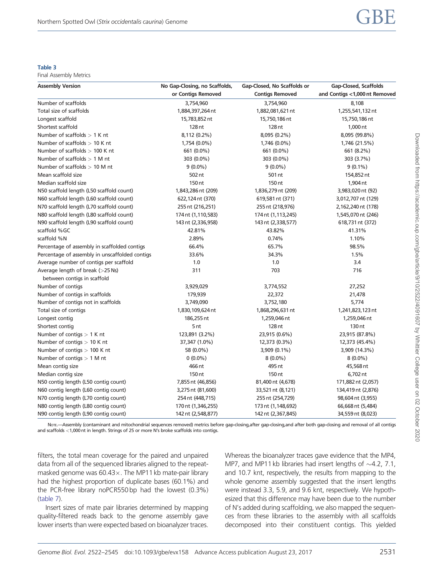### <span id="page-11-0"></span>Table 3

Final Assembly Metrics

| <b>Assembly Version</b>                        | No Gap-Closing, no Scaffolds, | Gap-Closed, No Scaffolds or | Gap-Closed, Scaffolds         |
|------------------------------------------------|-------------------------------|-----------------------------|-------------------------------|
|                                                | or Contigs Removed            | <b>Contigs Removed</b>      | and Contigs <1,000 nt Removed |
| Number of scaffolds                            | 3,754,960                     | 3,754,960                   | 8,108                         |
| Total size of scaffolds                        | 1,884,397,264 nt              | 1,882,081,621 nt            | 1,255,541,132 nt              |
| Longest scaffold                               | 15,783,852 nt                 | 15,750,186 nt               | 15,750,186 nt                 |
| Shortest scaffold                              | 128 nt                        | 128 nt                      | 1,000 nt                      |
| Number of scaffolds $> 1$ K nt                 | 8,112 (0.2%)                  | 8,095 (0.2%)                | 8,095 (99.8%)                 |
| Number of scaffolds $> 10$ K nt                | 1,754 (0.0%)                  | 1,746 (0.0%)                | 1,746 (21.5%)                 |
| Number of scaffolds $> 100$ K nt               | 661 (0.0%)                    | 661 (0.0%)                  | 661 (8.2%)                    |
| Number of scaffolds $> 1$ M nt                 | 303 (0.0%)                    | 303 (0.0%)                  | 303 (3.7%)                    |
| Number of scaffolds $> 10$ M nt                | $9(0.0\%)$                    | $9(0.0\%)$                  | $9(0.1\%)$                    |
| Mean scaffold size                             | 502 nt                        | 501 nt                      | 154,852 nt                    |
| Median scaffold size                           | 150 nt                        | 150 nt                      | 1,904 nt                      |
| N50 scaffold length (L50 scaffold count)       | 1,843,286 nt (209)            | 1,836,279 nt (209)          | 3,983,020 nt (92)             |
| N60 scaffold length (L60 scaffold count)       | 622,124 nt (370)              | 619,581 nt (371)            | 3,012,707 nt (129)            |
| N70 scaffold length (L70 scaffold count)       | 255 nt (216,251)              | 255 nt (218,976)            | 2,162,240 nt (178)            |
| N80 scaffold length (L80 scaffold count)       | 174 nt (1,110,583)            | 174 nt (1,113,245)          | 1,545,070 nt (246)            |
| N90 scaffold length (L90 scaffold count)       | 143 nt (2,336,958)            | 143 nt (2,338,577)          | 618,731 nt (372)              |
| scaffold %GC                                   | 42.81%                        | 43.82%                      | 41.31%                        |
| scaffold %N                                    | 2.89%                         | 0.74%                       | 1.10%                         |
| Percentage of assembly in scaffolded contigs   | 66.4%                         | 65.7%                       | 98.5%                         |
| Percentage of assembly in unscaffolded contigs | 33.6%                         | 34.3%                       | 1.5%                          |
| Average number of contigs per scaffold         | 1.0                           | 1.0                         | 3.4                           |
| Average length of break (>25 Ns)               | 311                           | 703                         | 716                           |
| between contigs in scaffold                    |                               |                             |                               |
| Number of contigs                              | 3,929,029                     | 3,774,552                   | 27,252                        |
| Number of contigs in scaffolds                 | 179,939                       | 22,372                      | 21,478                        |
| Number of contigs not in scaffolds             | 3,749,090                     | 3,752,180                   | 5,774                         |
| Total size of contigs                          | 1,830,109,624 nt              | 1,868,296,631 nt            | 1,241,823,123 nt              |
| Longest contig                                 | 186,255 nt                    | 1,259,046 nt                | 1,259,046 nt                  |
| Shortest contig                                | 5 <sub>nt</sub>               | 128 nt                      | 130 nt                        |
| Number of contigs $> 1$ K nt                   | 123,891 (3.2%)                | 23,915 (0.6%)               | 23,915 (87.8%)                |
| Number of contigs > 10 K nt                    | 37,347 (1.0%)                 | 12,373 (0.3%)               | 12,373 (45.4%)                |
| Number of contigs $> 100$ K nt                 | 58 (0.0%)                     | 3,909 (0.1%)                | 3,909 (14.3%)                 |
| Number of contigs > 1 M nt                     | $0(0.0\%)$                    | $8(0.0\%)$                  | $8(0.0\%)$                    |
| Mean contig size                               | 466 nt                        | 495 nt                      | 45,568 nt                     |
| Median contig size                             | 150 nt                        | 150 nt                      | 6,702 nt                      |
| N50 contig length (L50 contig count)           | 7,855 nt (46,856)             | 81,400 nt (4,678)           | 171,882 nt (2,057)            |
| N60 contig length (L60 contig count)           | 3,275 nt (81,600)             | 33,521 nt (8,121)           | 134,419 nt (2,876)            |
| N70 contig length (L70 contig count)           | 254 nt (448,715)              | 255 nt (254,729)            | 98,604 nt (3,955)             |
| N80 contig length (L80 contig count)           | 170 nt (1,346,255)            | 173 nt (1,148,692)          | 66,668 nt (5,484)             |
| N90 contig length (L90 contig count)           | 142 nt (2,548,877)            | 142 nt (2,367,845)          | 34,559 nt (8,023)             |

NorE.-Assembly (contaminant and mitochondrial sequences removed) metrics before gap-closing,after gap-closing,and after both gap-closing and removal of all contigs and scaffolds <1,000 nt in length. Strings of 25 or more N's broke scaffolds into contigs.

filters, the total mean coverage for the paired and unpaired data from all of the sequenced libraries aligned to the repeatmasked genome was 60.43 $\times$ . The MP11 kb mate-pair library had the highest proportion of duplicate bases (60.1%) and the PCR-free library noPCR550 bp had the lowest (0.3%) [\(table 7](#page-14-0)).

Insert sizes of mate pair libraries determined by mapping quality-filtered reads back to the genome assembly gave lower inserts than were expected based on bioanalyzer traces.

Whereas the bioanalyzer traces gave evidence that the MP4, MP7, and MP11 kb libraries had insert lengths of  $\sim$ 4.2, 7.1, and 10.7 knt, respectively, the results from mapping to the whole genome assembly suggested that the insert lengths were instead 3.3, 5.9, and 9.6 knt, respectively. We hypothesized that this difference may have been due to the number of N's added during scaffolding, we also mapped the sequences from these libraries to the assembly with all scaffolds decomposed into their constituent contigs. This yielded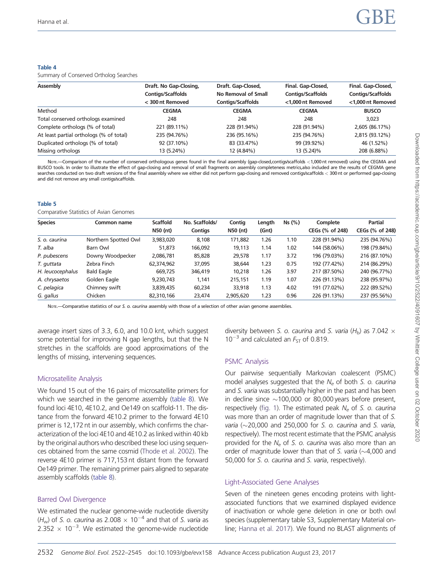### <span id="page-12-0"></span>Table 4

Summary of Conserved Ortholog Searches

| Assembly                                | Draft. No Gap-Closing,   | Draft. Gap-Closed,       | Final. Gap-Closed,       | Final. Gap-Closed,       |
|-----------------------------------------|--------------------------|--------------------------|--------------------------|--------------------------|
|                                         | <b>Contigs/Scaffolds</b> | No Removal of Small      | <b>Contigs/Scaffolds</b> | <b>Contigs/Scaffolds</b> |
|                                         | < 300 nt Removed         | <b>Contigs/Scaffolds</b> | <1.000 nt Removed        | <1.000 nt Removed        |
| Method                                  | <b>CEGMA</b>             | <b>CEGMA</b>             | <b>CEGMA</b>             | <b>BUSCO</b>             |
| Total conserved orthologs examined      | 248                      | 248                      | 248                      | 3.023                    |
| Complete orthologs (% of total)         | 221 (89.11%)             | 228 (91.94%)             | 228 (91.94%)             | 2,605 (86.17%)           |
| At least partial orthologs (% of total) | 235 (94.76%)             | 236 (95.16%)             | 235 (94.76%)             | 2,815 (93.12%)           |
| Duplicated orthologs (% of total)       | 92 (37.10%)              | 83 (33.47%)              | 99 (39.92%)              | 46 (1.52%)               |
| Missing orthologs                       | 13 (5.24%)               | 12 (4.84%)               | 13 (5.24)%               | 208 (6.88%)              |

NorE.--Comparison of the number of conserved orthologous genes found in the final assembly (gap-closed,contigs/scaffolds <1,000 nt removed) using the CEGMA and BUSCO tools. In order to illustrate the effect of gap-closing and removal of small fragments on assembly completeness metrics,also included are the results of CEGMA gene searches conducted on two draft versions of the final assembly where we either did not perform gap-dosing and removed contigs/scaffolds < 300 nt or performed gap-closing and did not remove any small contigs/scaffolds.

### Table 5

Comparative Statistics of Avian Genomes

| <b>Species</b>   | Common name          | <b>Scaffold</b> | No. Scaffolds/ | Contig    | Length | Ns(%) | Complete        | Partial         |
|------------------|----------------------|-----------------|----------------|-----------|--------|-------|-----------------|-----------------|
|                  |                      | N50 (nt)        | Contigs        | N50 (nt)  | (Gnt)  |       | CEGs (% of 248) | CEGs (% of 248) |
| S. o. caurina    | Northern Spotted Owl | 3,983,020       | 8.108          | 171,882   | 1.26   | 1.10  | 228 (91.94%)    | 235 (94.76%)    |
| T. alba          | Barn Owl             | 51,873          | 166,092        | 19.113    | 1.14   | 1.02  | 144 (58.06%)    | 198 (79.84%)    |
| P. pubescens     | Downy Woodpecker     | 2,086,781       | 85,828         | 29,578    | 1.17   | 3.72  | 196 (79.03%)    | 216 (87.10%)    |
| T. guttata       | Zebra Finch          | 62,374,962      | 37,095         | 38,644    | 1.23   | 0.75  | 192 (77.42%)    | 214 (86.29%)    |
| H. leucocephalus | <b>Bald Eagle</b>    | 669,725         | 346,419        | 10.218    | 1.26   | 3.97  | 217 (87.50%)    | 240 (96.77%)    |
| A. chrysaetos    | Golden Eagle         | 9,230,743       | 1.141          | 215,151   | 1.19   | 1.07  | 226 (91.13%)    | 238 (95.97%)    |
| C. pelagica      | Chimney swift        | 3,839,435       | 60,234         | 33,918    | 1.13   | 4.02  | 191 (77.02%)    | 222 (89.52%)    |
| G. gallus        | Chicken              | 82,310,166      | 23,474         | 2,905,620 | 1.23   | 0.96  | 226 (91.13%)    | 237 (95.56%)    |

NOTE.—Comparative statistics of our S. o. caurina assembly with those of a selection of other avian genome assemblies.

average insert sizes of 3.3, 6.0, and 10.0 knt, which suggest some potential for improving N gap lengths, but that the N stretches in the scaffolds are good approximations of the lengths of missing, intervening sequences.

### Microsatellite Analysis

We found 15 out of the 16 pairs of microsatellite primers for which we searched in the genome assembly [\(table 8\)](#page-15-0). We found loci 4E10, 4E10.2, and Oe149 on scaffold-11. The distance from the forward 4E10.2 primer to the forward 4E10 primer is 12,172 nt in our assembly, which confirms the characterization of the loci 4E10 and 4E10.2 as linked within 40 kb by the original authors who described these loci using sequences obtained from the same cosmid [\(Thode et al. 2002](#page-24-0)). The reverse 4E10 primer is 717,153 nt distant from the forward Oe149 primer. The remaining primer pairs aligned to separate assembly scaffolds [\(table 8](#page-15-0)).

### Barred Owl Divergence

We estimated the nuclear genome-wide nucleotide diversity  $(H_w)$  of S. o. caurina as 2.008  $\times$  10<sup>-4</sup> and that of S. varia as 2.352  $\times$  10<sup>-3</sup>. We estimated the genome-wide nucleotide

diversity between S. o. caurina and S. varia  $(H_b)$  as 7.042  $\times$  $10^{-3}$  and calculated an  $F_{ST}$  of 0.819.

### PSMC Analysis

Our pairwise sequentially Markovian coalescent (PSMC) model analyses suggested that the  $N_e$  of both S. o. caurina and S. varia was substantially higher in the past and has been in decline since  $\sim$  100,000 or 80,000 years before present, respectively [\(fig. 1\)](#page-17-0). The estimated peak  $N_e$  of S. o. caurina was more than an order of magnitude lower than that of S. varia ( $\sim$ 20,000 and 250,000 for S. o. caurina and S. varia, respectively). The most recent estimate that the PSMC analysis provided for the  $N_e$  of S. o. caurina was also more than an order of magnitude lower than that of S. varia  $(\sim 4,000$  and 50,000 for S. o. caurina and S. varia, respectively).

### Light-Associated Gene Analyses

Seven of the nineteen genes encoding proteins with lightassociated functions that we examined displayed evidence of inactivation or whole gene deletion in one or both owl species (supplementary table S3, Supplementary Material online; [Hanna et al. 2017\)](#page-23-0). We found no BLAST alignments of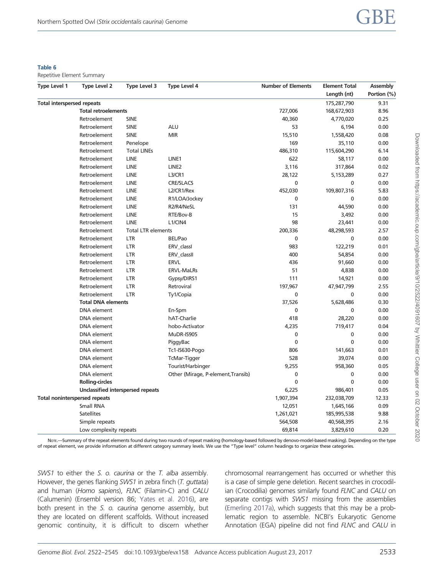### <span id="page-13-0"></span>Table 6

Repetitive Element Summary

| Type Level 1                      | Type Level 2                         | Type Level 3                      | <b>Type Level 4</b>                | <b>Number of Elements</b> | <b>Element Total</b><br>Length (nt) | <b>Assembly</b><br>Portion (%) |
|-----------------------------------|--------------------------------------|-----------------------------------|------------------------------------|---------------------------|-------------------------------------|--------------------------------|
| <b>Total interspersed repeats</b> |                                      |                                   |                                    |                           | 175,287,790                         | 9.31                           |
|                                   | <b>Total retroelements</b>           |                                   |                                    | 727,006                   | 168,672,903                         | 8.96                           |
|                                   | Retroelement                         | <b>SINE</b>                       |                                    | 40,360                    | 4,770,020                           | 0.25                           |
|                                   | Retroelement                         | <b>SINE</b>                       | ALU                                | 53                        | 6,194                               | 0.00                           |
|                                   | Retroelement                         | <b>SINE</b>                       | <b>MIR</b>                         | 15,510                    | 1,558,420                           | 0.08                           |
|                                   | Retroelement                         | Penelope                          |                                    | 169                       | 35,110                              | 0.00                           |
|                                   | Retroelement                         | <b>Total LINEs</b>                |                                    | 486,310                   | 115,604,290                         | 6.14                           |
|                                   | Retroelement                         | LINE                              | LINE1                              | 622                       | 58,117                              | 0.00                           |
|                                   | Retroelement                         | LINE                              | LINE <sub>2</sub>                  | 3,116                     | 317,864                             | 0.02                           |
|                                   | Retroelement                         | LINE                              | L3/CR1                             | 28,122                    | 5,153,289                           | 0.27                           |
|                                   | Retroelement                         | LINE                              | <b>CRE/SLACS</b>                   | $\mathbf 0$               | 0                                   | 0.00                           |
|                                   | Retroelement                         | LINE                              | L2/CR1/Rex                         | 452,030                   | 109,807,316                         | 5.83                           |
|                                   | Retroelement                         | LINE                              | R1/LOA/Jockey                      | 0                         | 0                                   | 0.00                           |
|                                   | Retroelement                         | LINE                              | R2/R4/NeSL                         | 131                       | 44,590                              | 0.00                           |
|                                   | Retroelement                         | LINE                              | RTE/Bov-B                          | 15                        | 3,492                               | 0.00                           |
|                                   | Retroelement                         | LINE                              | L1/CIN4                            | 98                        | 23,441                              | 0.00                           |
|                                   | Retroelement                         | <b>Total LTR elements</b>         |                                    | 200,336                   | 48,298,593                          | 2.57                           |
|                                   | Retroelement                         | LTR                               | BEL/Pao                            | 0                         | 0                                   | 0.00                           |
|                                   | Retroelement                         | LTR                               | ERV_classI                         | 983                       | 122,219                             | 0.01                           |
|                                   | Retroelement                         | <b>LTR</b>                        | ERV_classII                        | 400                       | 54,854                              | 0.00                           |
|                                   | Retroelement                         | <b>LTR</b>                        | <b>ERVL</b>                        | 436                       | 91,660                              | 0.00                           |
|                                   | Retroelement                         | LTR                               | <b>ERVL-MaLRs</b>                  | 51                        | 4,838                               | 0.00                           |
|                                   | Retroelement                         | LTR                               | Gypsy/DIRS1                        | 111                       | 14,921                              | 0.00                           |
|                                   | Retroelement                         | <b>LTR</b>                        | Retroviral                         | 197,967                   | 47,947,799                          | 2.55                           |
|                                   | Retroelement                         | LTR                               | Ty1/Copia                          | 0                         | 0                                   | 0.00                           |
|                                   | <b>Total DNA elements</b>            |                                   |                                    | 37,526                    | 5,628,486                           | 0.30                           |
|                                   | <b>DNA</b> element                   |                                   | En-Spm                             | 0                         | 0                                   | 0.00                           |
|                                   | DNA element                          |                                   | hAT-Charlie                        | 418                       | 28,220                              | 0.00                           |
|                                   | DNA element                          |                                   | hobo-Activator                     | 4,235                     | 719,417                             | 0.04                           |
|                                   | DNA element                          |                                   | MuDR-IS905                         | $\mathbf 0$               | 0                                   | 0.00                           |
|                                   | DNA element                          |                                   | PiggyBac                           | $\mathbf 0$               | $\mathbf 0$                         | 0.00                           |
|                                   | <b>DNA</b> element                   |                                   | Tc1-IS630-Pogo                     | 806                       | 141,663                             | 0.01                           |
|                                   | <b>DNA</b> element                   |                                   | TcMar-Tigger                       | 528                       | 39,074                              | 0.00                           |
|                                   | DNA element                          |                                   | Tourist/Harbinger                  | 9,255                     | 958,360                             | 0.05                           |
|                                   | DNA element                          |                                   | Other (Mirage, P-element, Transib) | 0                         | 0                                   | 0.00                           |
|                                   | <b>Rolling-circles</b>               |                                   |                                    | $\mathbf 0$               | 0                                   | 0.00                           |
|                                   |                                      | Unclassified interspersed repeats |                                    | 6,225                     | 986,401                             | 0.05                           |
|                                   | <b>Total noninterspersed repeats</b> |                                   |                                    | 1,907,394                 | 232,038,709                         | 12.33                          |
|                                   | Small RNA                            |                                   |                                    | 12,051                    | 1,645,166                           | 0.09                           |
|                                   | <b>Satellites</b>                    |                                   |                                    | 1,261,021                 | 185,995,538                         | 9.88                           |
|                                   | Simple repeats                       |                                   |                                    | 564,508                   | 40,568,395                          | 2.16                           |
|                                   | Low complexity repeats               |                                   |                                    | 69,814                    | 3,829,610                           | 0.20                           |

NorE.-Gummary of the repeat elements found during two rounds of repeat masking (homology-based followed by denovo-model-based masking). Depending on the type of repeat element, we provide information at different category summary levels. We use the "Type level" column headings to organize these categories.

SWS1 to either the S. o. caurina or the T. alba assembly. However, the genes flanking SWS1 in zebra finch (T. guttata) and human (Homo sapiens), FLNC (Filamin-C) and CALU (Calumenin) (Ensembl version 86; [Yates et al. 2016](#page-25-0)), are both present in the S. o. caurina genome assembly, but they are located on different scaffolds. Without increased genomic continuity, it is difficult to discern whether chromosomal rearrangement has occurred or whether this is a case of simple gene deletion. Recent searches in crocodilian (Crocodilia) genomes similarly found FLNC and CALU on separate contigs with SWS1 missing from the assemblies [\(Emerling 2017a\)](#page-22-0), which suggests that this may be a problematic region to assemble. NCBI's Eukaryotic Genome Annotation (EGA) pipeline did not find FLNC and CALU in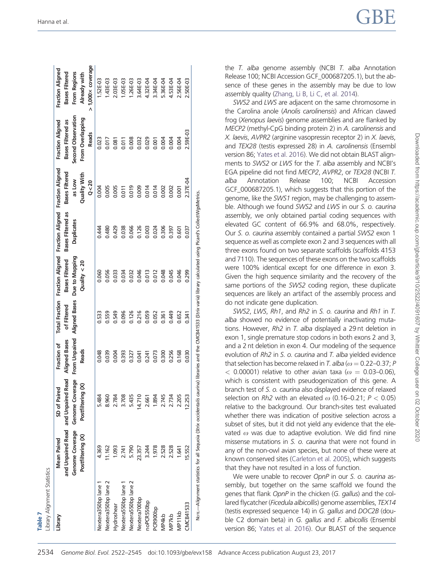<span id="page-14-0"></span>

| Library             | Mean Paired                    | SD of Paired         | Fraction of          |                      |                       | Total Fraction Fraction Aligned Fraction Aligned Fraction Aligned |                       | <b>Fraction Aligned</b>  | Fraction Aligned          |
|---------------------|--------------------------------|----------------------|----------------------|----------------------|-----------------------|-------------------------------------------------------------------|-----------------------|--------------------------|---------------------------|
|                     | and Unpaired Read and Unpaired | Read                 | <b>Aligned Bases</b> | of Filtered          | <b>Bases Filtered</b> | <b>Bases Filtered as</b>                                          | <b>Bases Filtered</b> | <b>Bases Filtered as</b> | <b>Bases Filtered</b>     |
|                     | Genome Coverage                | rage<br>Genome Cover | From Unpaired        | <b>Aligned Bases</b> | Due to Mapping        | <b>Duplicates</b>                                                 | as Low                | Second Observation       | From Regions              |
|                     | Postfiltering (X)              | 8<br>Postfiltering   | <b>Reads</b>         |                      | Quality $<$ 20        |                                                                   | Quality With          | From Overlapping         | Already with              |
|                     |                                |                      |                      |                      |                       |                                                                   | Q < 20                | <b>Reads</b>             | $> 1,000 \times$ coverage |
| Nextera350bp lane   | 4.369                          | 5.484                | 0.048                | 0.533                | 0.060                 | 0.444                                                             | 0.004                 | 0.023                    | I.52E-03                  |
| Nextera350bp lane   | 11.162                         | 8.960                | 0.039                | 0.559                | 0.056                 | 0.480                                                             | 0.005                 | 0.017                    | 1.43E-03                  |
| Hydroshear          | 1.093                          | 2.784                | 0.004                | 0.549                | 0.033                 | 0.429                                                             | 0.005                 | 0.081                    | 2.03E-03                  |
| Nextera550bp lane   | 2.741                          | 3.708                | 0.393                | 0.096                | 0.034                 | 0.038                                                             | 0.011                 | 0.011                    | $1.05E - 03$              |
| Nextera550bp lane 2 | 5.790                          | 5.435                | 0.327                | 0.126                | 0.032                 | 0.066                                                             | 0.019                 | 0.008                    | 1.26E-03                  |
| Nextera700bp        | 23.357                         | 14.710               | 0.041                | 0.216                | 0.046                 | 0.126                                                             | 0.009                 | 0.032                    | 3.64E-03                  |
| noPCR550bp          | 3.244                          | 2.661                | 0.241                | 0.059                | 0.013                 | 0.003                                                             | 0.014                 | 0.029                    | 4.32E-04                  |
| PCR900bp            | 1.978                          | 1.894                | 0.073                | 0.052                | 0.012                 | 0.024                                                             | 0.014                 | 0.001                    | 3.34E-04                  |
| MP4kb               | 2.528                          | 2.745                | 0.300                | 0.361                | 0.048                 | 0.306                                                             | 0.002                 | 0.004                    | 5.36E-04                  |
| MP7kb               | 2.528                          | 2.734                | 0.256                | 0.449                | 0.045                 | 0.397                                                             | 0.002                 | 0.004                    | 4.53E-04                  |
| MP11kb              | 1.641                          | 2.205                | 0.168                | 0.652                | 0.046                 | 0.601                                                             | 0.001                 | 0.004                    | 2.56E-04                  |
| CMCB41533           | 15.552                         | 12.253               | 0.030                | 0.341                | 0.299                 | 0.037                                                             | 2.37E-04              | 2.59E-03                 | 2.50E-03                  |

the T. alba genome assembly (NCBI T. alba Annotation Release 100; NCBI Accession GCF\_000687205.1), but the absence of these genes in the assembly may be due to low assembly quality ([Zhang, Li B, Li C, et al. 2014](#page-25-0)).

SWS2 and LWS are adjacent on the same chromosome in the Carolina anole (Anolis carolinensis) and African clawed frog (Xenopus laevis) genome assemblies and are flanked by MECP2 (methyl-CpG binding protein 2) in A. carolinensis and X. laevis, AVPR2 (arginine vasopressin receptor 2) in X. laevis, and TEX28 (testis expressed 28) in A. carolinensis (Ensembl version 86; [Yates et al. 2016\)](#page-25-0). We did not obtain BLAST alignments to SWS2 or LWS for the T. alba assembly and NCBI's EGA pipeline did not find MECP2, AVPR2, or TEX28 (NCBI T. alba Annotation Release 100; NCBI Accession GCF 000687205.1), which suggests that this portion of the genome, like the SWS1 region, may be challenging to assemble. Although we found SWS2 and LWS in our S. o. caurina assembly, we only obtained partial coding sequences with elevated GC content of 66.9% and 68.0%, respectively. Our S. o. caurina assembly contained a partial SWS2 exon 1 sequence as well as complete exon 2 and 3 sequences with all three exons found on two separate scaffolds (scaffolds 4153 and 7110). The sequences of these exons on the two scaffolds were 100% identical except for one difference in exon 3. Given the high sequence similarity and the recovery of the same portions of the SWS2 coding region, these duplicate sequences are likely an artifact of the assembly process and do not indicate gene duplication.

SWS2, LWS, Rh1, and Rh2 in S. o. caurina and Rh1 in T. alba showed no evidence of potentially inactivating mutations. However, Rh2 in T. alba displayed a 29 nt deletion in exon 1, single premature stop codons in both exons 2 and 3, and a 2 nt deletion in exon 4. Our modeling of the sequence evolution of Rh2 in S. o. caurina and T. alba yielded evidence that selection has become relaxed in T. alba ( $\omega$  = 0.22–0.37; P  $<$  0.00001) relative to other avian taxa ( $\omega = 0.03{\text -}0.06$ ), which is consistent with pseudogenization of this gene. A branch test of S. o. caurina also displayed evidence of relaxed selection on Rh2 with an elevated  $\omega$  (0.16–0.21; P < 0.05) relative to the background. Our branch-sites test evaluated whether there was indication of positive selection across a subset of sites, but it did not yield any evidence that the elevated  $\omega$  was due to adaptive evolution. We did find nine missense mutations in S. o. caurina that were not found in any of the non-owl avian species, but none of these were at known conserved sites [\(Carleton et al. 2005\)](#page-22-0), which suggests that they have not resulted in a loss of function.

We were unable to recover OpnP in our S. o. caurina assembly, but together on the same scaffold we found the genes that flank OpnP in the chicken (G. gallus) and the collared flycatcher (Ficedula albicollis) genome assemblies, TEX14 (testis expressed sequence 14) in G. gallus and DOC2B (double C2 domain beta) in G. gallus and F. albicollis (Ensembl version 86; [Yates et al. 2016](#page-25-0)). Our BLAST of the sequence

Table 7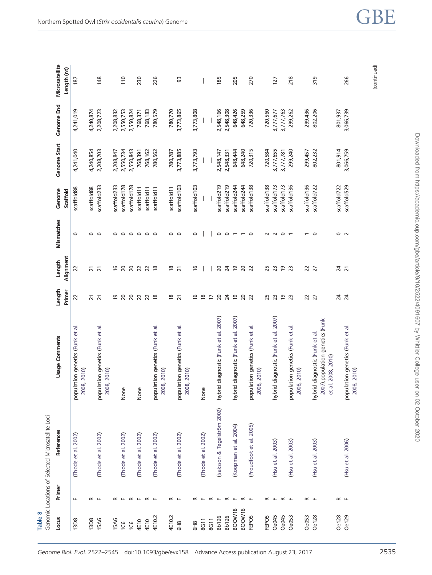| <b>IICYCC3</b><br>١               |
|-----------------------------------|
| 굮<br>Locations of Selected<br>mon |

<span id="page-15-0"></span>

| Length (nt)<br>148<br>110<br>266<br>230<br>226<br>93<br>185<br>205<br>270<br>218<br>319<br>187<br>127<br>4,240,874<br>2,550,753<br>2,550,824<br>780,579<br>780,770<br>3,773,865<br>3,773,808<br>2,548,166<br>2,548,308<br>648,426<br>648,259<br>720,336<br>3,777,763<br>299,436<br>3,066,739<br>4,241,019<br>2,208,723<br>768,183<br>720,560<br>802,206<br>801,937<br>2,208,832<br>299,262<br>768,371<br>3,777,677<br>4,241,040<br>4,240,854<br>2,208,703<br>2,550,843<br>3,773,885<br>3,773,793<br>648,240<br>720,315<br>3,777,655<br>299,240<br>801,914<br>3,066,759<br>2,550,734<br>768,162<br>780,562<br>648,444<br>720,584<br>3,777,781<br>802,232<br>2,208,847<br>768,391<br>780,787<br>2,548,147<br>299,457<br>2,548,331<br>scaffold136<br>scaffold529<br>scaffold233<br>scaffold178<br>scaffold178<br>scaffold103<br>scaffold103<br>scaffold219<br>scaffold219<br>scaffold244<br>scaffold244<br>scaffold138<br>scaffold138<br>scaffold173<br>scaffold173<br>scaffold136<br>scaffold722<br>scaffold722<br>scaffold233<br>scaffold88<br>scaffold88<br>scaffold11<br>scaffold11<br>scaffold11<br>scaffold11<br>Scaffold<br>$\circ$<br>$\circ$<br>$\circ$<br>$\circ$<br>$\circ$<br>$\circ$<br>$\circ$<br>$\circ$<br>0<br>$\circ$<br>$\circ$<br>$\circ$<br>$\circ$<br>$\circ$<br>$\sim$<br>$\circ$<br>o N<br>0<br>$\sim$<br>$\circ$<br>$\overline{\phantom{a}}$<br>Alignment<br>$\overline{c}$<br>$\frac{8}{2}$<br>$74$ $9$<br>$\overline{c}$<br>22<br>$\frac{6}{2}$<br>$\overline{\mathcal{L}}$<br>22<br>22<br>$\frac{8}{2}$<br>$\frac{6}{2}$<br>$\gtrsim$<br>25<br>23<br>$\overline{9}$<br>$\approx$<br>$\frac{1}{2}$<br>22<br>ಬ<br>27<br>ភ ភ<br>$\overline{z}$<br>Primer<br>$\overline{\mathcal{S}}$<br><b>2222</b><br>$\frac{8}{2}$<br>$\frac{8}{2}$<br>$\frac{8}{2}$<br>$20^{2}$<br><u>ღ</u><br>$\overline{c}$<br><b>23</b><br><b>29</b><br>24<br>24<br>22<br>ഇ<br>$\frac{6}{2}$<br>$\overline{\phantom{a}}$<br>22<br>25<br>23<br>$\frac{2}{2}$<br><u> ភ</u><br>$\overline{z}$<br>hybrid diagnostic (Funk et al. 2007)<br>hybrid diagnostic (Funk et al. 2007)<br>hybrid diagnostic (Funk et al. 2007)<br>2007), population genetics (Funk<br>population genetics (Funk et al.<br>population genetics (Funk et al.<br>population genetics (Funk et al.<br>population genetics (Funk et al.<br>population genetics (Funk et al.<br>population genetics (Funk et al.<br>population genetics (Funk et al.<br>hybrid diagnostic (Funk et al.<br>et al. 2008, 2010)<br>8,2010)<br>2008, 2010)<br>2008, 2010)<br>2008, 2010)<br>8,2010)<br>8,2010)<br>2008, 2010)<br>200<br>200<br>None<br>None<br>None<br>200<br>(Isaksson & Tegelström 2002)<br>(Proudfoot et al. 2005)<br>(Koopman et al. 2004)<br>(Thode et al. 2002)<br>(Thode et al. 2002)<br>(Thode et al. 2002)<br>(Thode et al. 2002)<br>(Thode et al. 2002)<br>(Thode et al. 2002)<br>(Thode et al. 2002)<br>(Hsu et al. 2006)<br>(Hsu et al. 2003)<br>(Hsu et al. 2003)<br>(Hsu et al. 2003)<br><b>KLKL</b><br>ᅂᇿ<br><b>KLKL</b><br>$\propto$ $\thicksim$<br>$\propto$ $\mu$<br>$\propto$ $\mu$<br>≃<br>щ<br>≃<br>$\propto$<br>ட<br>$\propto$<br>$\mathsf{L}\mathsf{L}$<br>$\propto$<br>ட<br>BOOW <sub>18</sub><br>BOOW <sub>18</sub><br>4E10.2<br>4E10.2<br>FEPO <sub>5</sub><br><b>Oe128</b><br>Bb126<br>Bb126<br>FEPO <sub>5</sub><br><b>Oe045</b><br><b>Oe045</b><br><b>Oe129</b><br><b>Oe053</b><br><b>Oe053</b><br><b>Oe128</b><br><b>15A6</b><br>13D8<br>13D8<br>15A6<br>8G11<br>8G11<br>4E10<br>4E10<br>1C6<br><b>GH8</b><br>1C6<br>GH <sub>8</sub> |       |        |            |                       |        |        |                   |        |              |            |                |
|--------------------------------------------------------------------------------------------------------------------------------------------------------------------------------------------------------------------------------------------------------------------------------------------------------------------------------------------------------------------------------------------------------------------------------------------------------------------------------------------------------------------------------------------------------------------------------------------------------------------------------------------------------------------------------------------------------------------------------------------------------------------------------------------------------------------------------------------------------------------------------------------------------------------------------------------------------------------------------------------------------------------------------------------------------------------------------------------------------------------------------------------------------------------------------------------------------------------------------------------------------------------------------------------------------------------------------------------------------------------------------------------------------------------------------------------------------------------------------------------------------------------------------------------------------------------------------------------------------------------------------------------------------------------------------------------------------------------------------------------------------------------------------------------------------------------------------------------------------------------------------------------------------------------------------------------------------------------------------------------------------------------------------------------------------------------------------------------------------------------------------------------------------------------------------------------------------------------------------------------------------------------------------------------------------------------------------------------------------------------------------------------------------------------------------------------------------------------------------------------------------------------------------------------------------------------------------------------------------------------------------------------------------------------------------------------------------------------------------------------------------------------------------------------------------------------------------------------------------------------------------------------------------------------------------------------------------------------------------------------------------------------------------------------------------------------------------------------------------------------------------------------------------------------------------------------------------------------------------------------------------------------------------------------------------------------------------------------------------------------------------------------------------------------------------------------------------------------------------------------------------------------------|-------|--------|------------|-----------------------|--------|--------|-------------------|--------|--------------|------------|----------------|
|                                                                                                                                                                                                                                                                                                                                                                                                                                                                                                                                                                                                                                                                                                                                                                                                                                                                                                                                                                                                                                                                                                                                                                                                                                                                                                                                                                                                                                                                                                                                                                                                                                                                                                                                                                                                                                                                                                                                                                                                                                                                                                                                                                                                                                                                                                                                                                                                                                                                                                                                                                                                                                                                                                                                                                                                                                                                                                                                                                                                                                                                                                                                                                                                                                                                                                                                                                                                                                                                                                                          | Locus | Primer | References | <b>Usage Comments</b> | Length | Length | <b>Mismatches</b> | Genome | Genome Start | Genome End | Microsatellite |
|                                                                                                                                                                                                                                                                                                                                                                                                                                                                                                                                                                                                                                                                                                                                                                                                                                                                                                                                                                                                                                                                                                                                                                                                                                                                                                                                                                                                                                                                                                                                                                                                                                                                                                                                                                                                                                                                                                                                                                                                                                                                                                                                                                                                                                                                                                                                                                                                                                                                                                                                                                                                                                                                                                                                                                                                                                                                                                                                                                                                                                                                                                                                                                                                                                                                                                                                                                                                                                                                                                                          |       |        |            |                       |        |        |                   |        |              |            |                |
|                                                                                                                                                                                                                                                                                                                                                                                                                                                                                                                                                                                                                                                                                                                                                                                                                                                                                                                                                                                                                                                                                                                                                                                                                                                                                                                                                                                                                                                                                                                                                                                                                                                                                                                                                                                                                                                                                                                                                                                                                                                                                                                                                                                                                                                                                                                                                                                                                                                                                                                                                                                                                                                                                                                                                                                                                                                                                                                                                                                                                                                                                                                                                                                                                                                                                                                                                                                                                                                                                                                          |       |        |            |                       |        |        |                   |        |              |            |                |
|                                                                                                                                                                                                                                                                                                                                                                                                                                                                                                                                                                                                                                                                                                                                                                                                                                                                                                                                                                                                                                                                                                                                                                                                                                                                                                                                                                                                                                                                                                                                                                                                                                                                                                                                                                                                                                                                                                                                                                                                                                                                                                                                                                                                                                                                                                                                                                                                                                                                                                                                                                                                                                                                                                                                                                                                                                                                                                                                                                                                                                                                                                                                                                                                                                                                                                                                                                                                                                                                                                                          |       |        |            |                       |        |        |                   |        |              |            |                |
|                                                                                                                                                                                                                                                                                                                                                                                                                                                                                                                                                                                                                                                                                                                                                                                                                                                                                                                                                                                                                                                                                                                                                                                                                                                                                                                                                                                                                                                                                                                                                                                                                                                                                                                                                                                                                                                                                                                                                                                                                                                                                                                                                                                                                                                                                                                                                                                                                                                                                                                                                                                                                                                                                                                                                                                                                                                                                                                                                                                                                                                                                                                                                                                                                                                                                                                                                                                                                                                                                                                          |       |        |            |                       |        |        |                   |        |              |            |                |
|                                                                                                                                                                                                                                                                                                                                                                                                                                                                                                                                                                                                                                                                                                                                                                                                                                                                                                                                                                                                                                                                                                                                                                                                                                                                                                                                                                                                                                                                                                                                                                                                                                                                                                                                                                                                                                                                                                                                                                                                                                                                                                                                                                                                                                                                                                                                                                                                                                                                                                                                                                                                                                                                                                                                                                                                                                                                                                                                                                                                                                                                                                                                                                                                                                                                                                                                                                                                                                                                                                                          |       |        |            |                       |        |        |                   |        |              |            |                |
|                                                                                                                                                                                                                                                                                                                                                                                                                                                                                                                                                                                                                                                                                                                                                                                                                                                                                                                                                                                                                                                                                                                                                                                                                                                                                                                                                                                                                                                                                                                                                                                                                                                                                                                                                                                                                                                                                                                                                                                                                                                                                                                                                                                                                                                                                                                                                                                                                                                                                                                                                                                                                                                                                                                                                                                                                                                                                                                                                                                                                                                                                                                                                                                                                                                                                                                                                                                                                                                                                                                          |       |        |            |                       |        |        |                   |        |              |            |                |
|                                                                                                                                                                                                                                                                                                                                                                                                                                                                                                                                                                                                                                                                                                                                                                                                                                                                                                                                                                                                                                                                                                                                                                                                                                                                                                                                                                                                                                                                                                                                                                                                                                                                                                                                                                                                                                                                                                                                                                                                                                                                                                                                                                                                                                                                                                                                                                                                                                                                                                                                                                                                                                                                                                                                                                                                                                                                                                                                                                                                                                                                                                                                                                                                                                                                                                                                                                                                                                                                                                                          |       |        |            |                       |        |        |                   |        |              |            |                |
|                                                                                                                                                                                                                                                                                                                                                                                                                                                                                                                                                                                                                                                                                                                                                                                                                                                                                                                                                                                                                                                                                                                                                                                                                                                                                                                                                                                                                                                                                                                                                                                                                                                                                                                                                                                                                                                                                                                                                                                                                                                                                                                                                                                                                                                                                                                                                                                                                                                                                                                                                                                                                                                                                                                                                                                                                                                                                                                                                                                                                                                                                                                                                                                                                                                                                                                                                                                                                                                                                                                          |       |        |            |                       |        |        |                   |        |              |            |                |
|                                                                                                                                                                                                                                                                                                                                                                                                                                                                                                                                                                                                                                                                                                                                                                                                                                                                                                                                                                                                                                                                                                                                                                                                                                                                                                                                                                                                                                                                                                                                                                                                                                                                                                                                                                                                                                                                                                                                                                                                                                                                                                                                                                                                                                                                                                                                                                                                                                                                                                                                                                                                                                                                                                                                                                                                                                                                                                                                                                                                                                                                                                                                                                                                                                                                                                                                                                                                                                                                                                                          |       |        |            |                       |        |        |                   |        |              |            |                |
|                                                                                                                                                                                                                                                                                                                                                                                                                                                                                                                                                                                                                                                                                                                                                                                                                                                                                                                                                                                                                                                                                                                                                                                                                                                                                                                                                                                                                                                                                                                                                                                                                                                                                                                                                                                                                                                                                                                                                                                                                                                                                                                                                                                                                                                                                                                                                                                                                                                                                                                                                                                                                                                                                                                                                                                                                                                                                                                                                                                                                                                                                                                                                                                                                                                                                                                                                                                                                                                                                                                          |       |        |            |                       |        |        |                   |        |              |            |                |
|                                                                                                                                                                                                                                                                                                                                                                                                                                                                                                                                                                                                                                                                                                                                                                                                                                                                                                                                                                                                                                                                                                                                                                                                                                                                                                                                                                                                                                                                                                                                                                                                                                                                                                                                                                                                                                                                                                                                                                                                                                                                                                                                                                                                                                                                                                                                                                                                                                                                                                                                                                                                                                                                                                                                                                                                                                                                                                                                                                                                                                                                                                                                                                                                                                                                                                                                                                                                                                                                                                                          |       |        |            |                       |        |        |                   |        |              |            |                |
|                                                                                                                                                                                                                                                                                                                                                                                                                                                                                                                                                                                                                                                                                                                                                                                                                                                                                                                                                                                                                                                                                                                                                                                                                                                                                                                                                                                                                                                                                                                                                                                                                                                                                                                                                                                                                                                                                                                                                                                                                                                                                                                                                                                                                                                                                                                                                                                                                                                                                                                                                                                                                                                                                                                                                                                                                                                                                                                                                                                                                                                                                                                                                                                                                                                                                                                                                                                                                                                                                                                          |       |        |            |                       |        |        |                   |        |              |            |                |
|                                                                                                                                                                                                                                                                                                                                                                                                                                                                                                                                                                                                                                                                                                                                                                                                                                                                                                                                                                                                                                                                                                                                                                                                                                                                                                                                                                                                                                                                                                                                                                                                                                                                                                                                                                                                                                                                                                                                                                                                                                                                                                                                                                                                                                                                                                                                                                                                                                                                                                                                                                                                                                                                                                                                                                                                                                                                                                                                                                                                                                                                                                                                                                                                                                                                                                                                                                                                                                                                                                                          |       |        |            |                       |        |        |                   |        |              |            |                |
|                                                                                                                                                                                                                                                                                                                                                                                                                                                                                                                                                                                                                                                                                                                                                                                                                                                                                                                                                                                                                                                                                                                                                                                                                                                                                                                                                                                                                                                                                                                                                                                                                                                                                                                                                                                                                                                                                                                                                                                                                                                                                                                                                                                                                                                                                                                                                                                                                                                                                                                                                                                                                                                                                                                                                                                                                                                                                                                                                                                                                                                                                                                                                                                                                                                                                                                                                                                                                                                                                                                          |       |        |            |                       |        |        |                   |        |              |            |                |
|                                                                                                                                                                                                                                                                                                                                                                                                                                                                                                                                                                                                                                                                                                                                                                                                                                                                                                                                                                                                                                                                                                                                                                                                                                                                                                                                                                                                                                                                                                                                                                                                                                                                                                                                                                                                                                                                                                                                                                                                                                                                                                                                                                                                                                                                                                                                                                                                                                                                                                                                                                                                                                                                                                                                                                                                                                                                                                                                                                                                                                                                                                                                                                                                                                                                                                                                                                                                                                                                                                                          |       |        |            |                       |        |        |                   |        |              |            |                |
|                                                                                                                                                                                                                                                                                                                                                                                                                                                                                                                                                                                                                                                                                                                                                                                                                                                                                                                                                                                                                                                                                                                                                                                                                                                                                                                                                                                                                                                                                                                                                                                                                                                                                                                                                                                                                                                                                                                                                                                                                                                                                                                                                                                                                                                                                                                                                                                                                                                                                                                                                                                                                                                                                                                                                                                                                                                                                                                                                                                                                                                                                                                                                                                                                                                                                                                                                                                                                                                                                                                          |       |        |            |                       |        |        |                   |        |              |            |                |
|                                                                                                                                                                                                                                                                                                                                                                                                                                                                                                                                                                                                                                                                                                                                                                                                                                                                                                                                                                                                                                                                                                                                                                                                                                                                                                                                                                                                                                                                                                                                                                                                                                                                                                                                                                                                                                                                                                                                                                                                                                                                                                                                                                                                                                                                                                                                                                                                                                                                                                                                                                                                                                                                                                                                                                                                                                                                                                                                                                                                                                                                                                                                                                                                                                                                                                                                                                                                                                                                                                                          |       |        |            |                       |        |        |                   |        |              |            |                |
|                                                                                                                                                                                                                                                                                                                                                                                                                                                                                                                                                                                                                                                                                                                                                                                                                                                                                                                                                                                                                                                                                                                                                                                                                                                                                                                                                                                                                                                                                                                                                                                                                                                                                                                                                                                                                                                                                                                                                                                                                                                                                                                                                                                                                                                                                                                                                                                                                                                                                                                                                                                                                                                                                                                                                                                                                                                                                                                                                                                                                                                                                                                                                                                                                                                                                                                                                                                                                                                                                                                          |       |        |            |                       |        |        |                   |        |              |            |                |
|                                                                                                                                                                                                                                                                                                                                                                                                                                                                                                                                                                                                                                                                                                                                                                                                                                                                                                                                                                                                                                                                                                                                                                                                                                                                                                                                                                                                                                                                                                                                                                                                                                                                                                                                                                                                                                                                                                                                                                                                                                                                                                                                                                                                                                                                                                                                                                                                                                                                                                                                                                                                                                                                                                                                                                                                                                                                                                                                                                                                                                                                                                                                                                                                                                                                                                                                                                                                                                                                                                                          |       |        |            |                       |        |        |                   |        |              |            |                |
|                                                                                                                                                                                                                                                                                                                                                                                                                                                                                                                                                                                                                                                                                                                                                                                                                                                                                                                                                                                                                                                                                                                                                                                                                                                                                                                                                                                                                                                                                                                                                                                                                                                                                                                                                                                                                                                                                                                                                                                                                                                                                                                                                                                                                                                                                                                                                                                                                                                                                                                                                                                                                                                                                                                                                                                                                                                                                                                                                                                                                                                                                                                                                                                                                                                                                                                                                                                                                                                                                                                          |       |        |            |                       |        |        |                   |        |              |            |                |
|                                                                                                                                                                                                                                                                                                                                                                                                                                                                                                                                                                                                                                                                                                                                                                                                                                                                                                                                                                                                                                                                                                                                                                                                                                                                                                                                                                                                                                                                                                                                                                                                                                                                                                                                                                                                                                                                                                                                                                                                                                                                                                                                                                                                                                                                                                                                                                                                                                                                                                                                                                                                                                                                                                                                                                                                                                                                                                                                                                                                                                                                                                                                                                                                                                                                                                                                                                                                                                                                                                                          |       |        |            |                       |        |        |                   |        |              |            |                |
|                                                                                                                                                                                                                                                                                                                                                                                                                                                                                                                                                                                                                                                                                                                                                                                                                                                                                                                                                                                                                                                                                                                                                                                                                                                                                                                                                                                                                                                                                                                                                                                                                                                                                                                                                                                                                                                                                                                                                                                                                                                                                                                                                                                                                                                                                                                                                                                                                                                                                                                                                                                                                                                                                                                                                                                                                                                                                                                                                                                                                                                                                                                                                                                                                                                                                                                                                                                                                                                                                                                          |       |        |            |                       |        |        |                   |        |              |            |                |
|                                                                                                                                                                                                                                                                                                                                                                                                                                                                                                                                                                                                                                                                                                                                                                                                                                                                                                                                                                                                                                                                                                                                                                                                                                                                                                                                                                                                                                                                                                                                                                                                                                                                                                                                                                                                                                                                                                                                                                                                                                                                                                                                                                                                                                                                                                                                                                                                                                                                                                                                                                                                                                                                                                                                                                                                                                                                                                                                                                                                                                                                                                                                                                                                                                                                                                                                                                                                                                                                                                                          |       |        |            |                       |        |        |                   |        |              |            |                |
|                                                                                                                                                                                                                                                                                                                                                                                                                                                                                                                                                                                                                                                                                                                                                                                                                                                                                                                                                                                                                                                                                                                                                                                                                                                                                                                                                                                                                                                                                                                                                                                                                                                                                                                                                                                                                                                                                                                                                                                                                                                                                                                                                                                                                                                                                                                                                                                                                                                                                                                                                                                                                                                                                                                                                                                                                                                                                                                                                                                                                                                                                                                                                                                                                                                                                                                                                                                                                                                                                                                          |       |        |            |                       |        |        |                   |        |              |            |                |
|                                                                                                                                                                                                                                                                                                                                                                                                                                                                                                                                                                                                                                                                                                                                                                                                                                                                                                                                                                                                                                                                                                                                                                                                                                                                                                                                                                                                                                                                                                                                                                                                                                                                                                                                                                                                                                                                                                                                                                                                                                                                                                                                                                                                                                                                                                                                                                                                                                                                                                                                                                                                                                                                                                                                                                                                                                                                                                                                                                                                                                                                                                                                                                                                                                                                                                                                                                                                                                                                                                                          |       |        |            |                       |        |        |                   |        |              |            |                |
|                                                                                                                                                                                                                                                                                                                                                                                                                                                                                                                                                                                                                                                                                                                                                                                                                                                                                                                                                                                                                                                                                                                                                                                                                                                                                                                                                                                                                                                                                                                                                                                                                                                                                                                                                                                                                                                                                                                                                                                                                                                                                                                                                                                                                                                                                                                                                                                                                                                                                                                                                                                                                                                                                                                                                                                                                                                                                                                                                                                                                                                                                                                                                                                                                                                                                                                                                                                                                                                                                                                          |       |        |            |                       |        |        |                   |        |              |            |                |
|                                                                                                                                                                                                                                                                                                                                                                                                                                                                                                                                                                                                                                                                                                                                                                                                                                                                                                                                                                                                                                                                                                                                                                                                                                                                                                                                                                                                                                                                                                                                                                                                                                                                                                                                                                                                                                                                                                                                                                                                                                                                                                                                                                                                                                                                                                                                                                                                                                                                                                                                                                                                                                                                                                                                                                                                                                                                                                                                                                                                                                                                                                                                                                                                                                                                                                                                                                                                                                                                                                                          |       |        |            |                       |        |        |                   |        |              |            |                |
|                                                                                                                                                                                                                                                                                                                                                                                                                                                                                                                                                                                                                                                                                                                                                                                                                                                                                                                                                                                                                                                                                                                                                                                                                                                                                                                                                                                                                                                                                                                                                                                                                                                                                                                                                                                                                                                                                                                                                                                                                                                                                                                                                                                                                                                                                                                                                                                                                                                                                                                                                                                                                                                                                                                                                                                                                                                                                                                                                                                                                                                                                                                                                                                                                                                                                                                                                                                                                                                                                                                          |       |        |            |                       |        |        |                   |        |              |            |                |

# Downloaded from https://academic.oup.com/gbe/article/9/10/2522/4091607 by Whittier College user on 02 October 2020 Downloaded from https://academic.oup.com/gbe/article/9/10/2522/4091607 by Whittier College user on 02 October 2020

(continued)

(continued)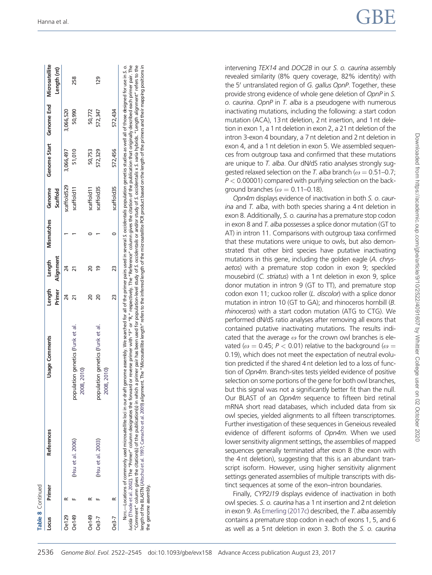|              | Table 8 Continued    |                                                                        |                                                                                                                                                                                                                                                                                                                                                                                                                                                                                                                                                                                                                                                                                                                                                                                                                                                                     |                |                |                   |             |                         |           |                |
|--------------|----------------------|------------------------------------------------------------------------|---------------------------------------------------------------------------------------------------------------------------------------------------------------------------------------------------------------------------------------------------------------------------------------------------------------------------------------------------------------------------------------------------------------------------------------------------------------------------------------------------------------------------------------------------------------------------------------------------------------------------------------------------------------------------------------------------------------------------------------------------------------------------------------------------------------------------------------------------------------------|----------------|----------------|-------------------|-------------|-------------------------|-----------|----------------|
| <b>Smocn</b> | Primer               | <b>References</b>                                                      | <b>Usage Comments</b>                                                                                                                                                                                                                                                                                                                                                                                                                                                                                                                                                                                                                                                                                                                                                                                                                                               | Length         | Length         | <b>Mismatches</b> | Genome      | Genome Start Genome End |           | Microsatellite |
|              |                      |                                                                        |                                                                                                                                                                                                                                                                                                                                                                                                                                                                                                                                                                                                                                                                                                                                                                                                                                                                     | Primer         | Alignment      |                   | Scaffold    |                         |           | Length (nt)    |
| <b>De129</b> |                      |                                                                        |                                                                                                                                                                                                                                                                                                                                                                                                                                                                                                                                                                                                                                                                                                                                                                                                                                                                     | 24             |                |                   | scaffold529 | 3,066,497               | 3,066,520 |                |
| <b>De149</b> |                      | (Hsu et al. 2006)                                                      | population genetics (Funk et al.<br>2008, 2010)                                                                                                                                                                                                                                                                                                                                                                                                                                                                                                                                                                                                                                                                                                                                                                                                                     |                |                |                   | scaffold11  | 51,010                  | 50,990    | 258            |
| <b>Oe149</b> |                      |                                                                        |                                                                                                                                                                                                                                                                                                                                                                                                                                                                                                                                                                                                                                                                                                                                                                                                                                                                     | $\overline{0}$ | $\overline{0}$ |                   | scaffold11  | 50,753                  | 50,772    |                |
| $Oe3-7$      |                      | (Hsu et al. 2003)                                                      | population genetics (Funk et al.<br>2008, 2010)                                                                                                                                                                                                                                                                                                                                                                                                                                                                                                                                                                                                                                                                                                                                                                                                                     | $\overline{0}$ | <u>م</u>       |                   | scaffold35  | 572,329                 | 572,347   | <b>PZ1</b>     |
| $Oe3-7$      | ≃                    |                                                                        |                                                                                                                                                                                                                                                                                                                                                                                                                                                                                                                                                                                                                                                                                                                                                                                                                                                                     |                |                |                   | scaffold35  | 572,456                 | 572,434   |                |
|              | the genome assembly. | lucida (Thode et al. 2002). The "Primer" column designates the forward | or reverse primer with "F" or "R," respectively. The "Reference" column gives the citation of the publication that originally described each primer pair. The<br>Comment" column gives the citation(s) of the publication(s) in which a primer pair has been used for population-level study of S. occidentalis or and/or study of S. occidentalis x S. varia hybrids. "Length alignment" refer<br>length of the BLASTN (Altschul et al. 1997; Camacho et al. 2009) alignment. The "Microsatellite length" refers to the inferred length of the microsatellite PCR product based on the length of the primers and their mapping p<br>NorE--Locations of commonly used microsatellite loci in our draft genome assembly. We searched for all of the primer pairs used in several 5. occidentalis population genetics studies as well all of those designed for use i |                |                |                   |             |                         |           |                |
|              |                      |                                                                        |                                                                                                                                                                                                                                                                                                                                                                                                                                                                                                                                                                                                                                                                                                                                                                                                                                                                     |                |                |                   |             |                         |           |                |

Hanna et al.  $\mathrm{GBE}$ 

intervening TEX14 and DOC2B in our S. o. caurina assembly revealed similarity (8% query coverage, 82% identity) with the 5' untranslated region of G. gallus OpnP. Together, these provide strong evidence of whole gene deletion of OpnP in S. o. caurina. OpnP in T. alba is a pseudogene with numerous inactivating mutations, including the following: a start codon mutation (ACA), 13 nt deletion, 2 nt insertion, and 1 nt deletion in exon 1, a 1 nt deletion in exon 2, a 21 nt deletion of the intron 3-exon 4 boundary, a 7 nt deletion and 2 nt deletion in exon 4, and a 1 nt deletion in exon 5. We assembled sequences from outgroup taxa and confirmed that these mutations are unique to T. alba. Our dN/dS ratio analyses strongly suggested relaxed selection on the T. alba branch ( $\omega = 0.51-0.7$ ;  $P < 0.00001$ ) compared with purifying selection on the backaround branches ( $\omega = 0.11$ –0.18).

Opn4m displays evidence of inactivation in both S. o. caurina and T. alba, with both species sharing a 4 nt deletion in exon 8. Additionally, S. o. caurina has a premature stop codon in exon 8 and T. alba possesses a splice donor mutation (GT to AT) in intron 11. Comparisons with outgroup taxa confirmed that these mutations were unique to owls, but also demonstrated that other bird species have putative inactivating mutations in this gene, including the golden eagle (A. chrysaetos) with a premature stop codon in exon 9; speckled mousebird (C. striatus) with a 1 nt deletion in exon 9, splice donor mutation in intron 9 (GT to TT), and premature stop codon exon 11; cuckoo roller (L. discolor) with a splice donor mutation in intron 10 (GT to GA); and rhinoceros hornbill (B. rhinoceros) with a start codon mutation (ATG to CTG). We performed dN/dS ratio analyses after removing all exons that contained putative inactivating mutations. The results indicated that the average  $\omega$  for the crown owl branches is elevated ( $\omega$  = 0.45; P < 0.01) relative to the background ( $\omega$  = 0.19), which does not meet the expectation of neutral evolution predicted if the shared 4 nt deletion led to a loss of function of Opn4m. Branch-sites tests yielded evidence of positive selection on some portions of the gene for both owl branches, but this signal was not a significantly better fit than the null. Our BLAST of an Opn4m sequence to fifteen bird retinal mRNA short read databases, which included data from six owl species, yielded alignments to all fifteen transcriptomes. Further investigation of these sequences in Geneious revealed evidence of different isoforms of Opn4m. When we used lower sensitivity alignment settings, the assemblies of mapped sequences generally terminated after exon 8 (the exon with the 4 nt deletion), suggesting that this is an abundant transcript isoform. However, using higher sensitivity alignment settings generated assemblies of multiple transcripts with distinct sequences at some of the exon–intron boundaries.

Finally, CYP2J19 displays evidence of inactivation in both owl species. S. o. caurina has a 1 nt insertion and 2 nt deletion in exon 9. As [Emerling \(2017c\)](#page-22-0) described, the T. alba assembly contains a premature stop codon in each of exons 1, 5, and 6 as well as a 5 nt deletion in exon 3. Both the S. o. caurina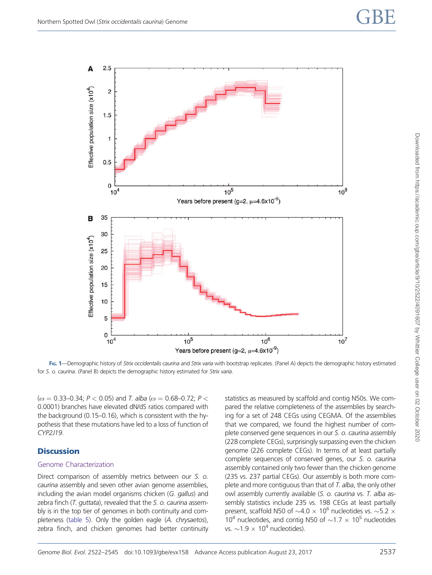<span id="page-17-0"></span>

FIG. 1—Demographic history of Strix occidentalis caurina and Strix varia with bootstrap replicates. (Panel A) depicts the demographic history estimated for S. o. caurina. (Panel B) depicts the demographic history estimated for Strix varia.

 $(\omega = 0.33{\text -}0.34; P < 0.05)$  and T. alba  $(\omega = 0.68{\text -}0.72; P <$ 0.0001) branches have elevated dN/dS ratios compared with the background (0.15–0.16), which is consistent with the hypothesis that these mutations have led to a loss of function of CYP2J19.

### **Discussion**

### Genome Characterization

Direct comparison of assembly metrics between our S. o. caurina assembly and seven other avian genome assemblies, including the avian model organisms chicken (G. gallus) and zebra finch (T. quttata), revealed that the S. o. caurina assembly is in the top tier of genomes in both continuity and completeness [\(table 5\)](#page-12-0). Only the golden eagle (A. chrysaetos), zebra finch, and chicken genomes had better continuity statistics as measured by scaffold and contig N50s. We compared the relative completeness of the assemblies by searching for a set of 248 CEGs using CEGMA. Of the assemblies that we compared, we found the highest number of complete conserved gene sequences in our S. o. caurina assembly (228 complete CEGs), surprisingly surpassing even the chicken genome (226 complete CEGs). In terms of at least partially complete sequences of conserved genes, our S. o. caurina assembly contained only two fewer than the chicken genome (235 vs. 237 partial CEGs). Our assembly is both more complete and more contiguous than that of T. alba, the only other owl assembly currently available (S. o. caurina vs. T. alba assembly statistics include 235 vs. 198 CEGs at least partially present, scaffold N50 of  $\sim$ 4.0  $\times$  10<sup>6</sup> nucleotides vs.  $\sim$ 5.2  $\times$ 10<sup>4</sup> nucleotides, and contig N50 of  $\sim$ 1.7  $\times$  10<sup>5</sup> nucleotides vs.  $\sim$  1.9  $\times$  10<sup>4</sup> nucleotides).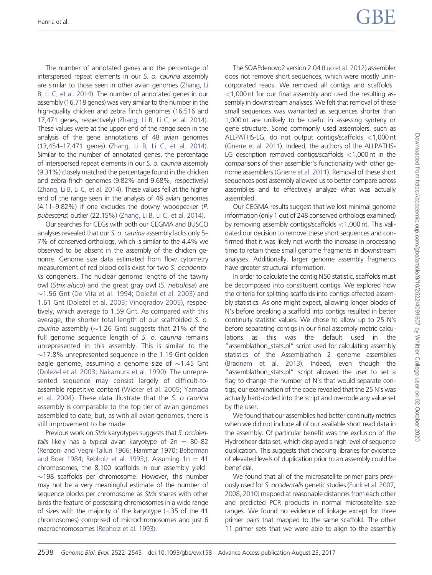The number of annotated genes and the percentage of interspersed repeat elements in our S. o. caurina assembly are similar to those seen in other avian genomes [\(Zhang, Li](#page-25-0) [B, Li C, et al. 2014\)](#page-25-0). The number of annotated genes in our assembly (16,718 genes) was very similar to the number in the high-quality chicken and zebra finch genomes (16,516 and 17,471 genes, respectively) [\(Zhang, Li B, Li C, et al. 2014](#page-25-0)). These values were at the upper end of the range seen in the analysis of the gene annotations of 48 avian genomes (13,454–17,471 genes) [\(Zhang, Li B, Li C, et al. 2014](#page-25-0)). Similar to the number of annotated genes, the percentage of interspersed repeat elements in our S. o. caurina assembly (9.31%) closely matched the percentage found in the chicken and zebra finch genomes (9.82% and 9.68%, respectively) [\(Zhang, Li B, Li C, et al. 2014](#page-25-0)). These values fell at the higher end of the range seen in the analysis of 48 avian genomes (4.11–9.82%) if one excludes the downy woodpecker (P. pubescens) outlier (22.15%) [\(Zhang, Li B, Li C, et al. 2014](#page-25-0)).

Our searches for CEGs with both our CEGMA and BUSCO analyses revealed that our S. o. caurina assembly lacks only 5– 7% of conserved orthologs, which is similar to the 4.4% we observed to be absent in the assembly of the chicken genome. Genome size data estimated from flow cytometry measurement of red blood cells exist for two S. occidentalis congeners. The nuclear genome lengths of the tawny owl (Strix aluco) and the great gray owl (S. nebulosa) are  $\sim$ 1.56 Gnt [\(De Vita et al. 1994;](#page-22-0) [Dole](#page-22-0)ž[el et al. 2003](#page-22-0)) and 1.61 Gnt ([Dole](#page-22-0)ž[el et al. 2003;](#page-22-0) [Vinogradov 2005\)](#page-24-0), respectively, which average to 1.59 Gnt. As compared with this average, the shorter total length of our scaffolded S. o. caurina assembly  $(\sim 1.26$  Gnt) suggests that 21% of the full genome sequence length of S. o. caurina remains unrepresented in this assembly. This is similar to the  $\sim$ 17.8% unrepresented sequence in the 1.19 Gnt golden eagle genome, assuming a genome size of  $\sim$ 1.45 Gnt ([Dole](#page-22-0)žel et al. 2003; [Nakamura et al. 1990](#page-24-0)). The unrepresented sequence may consist largely of difficult-toassemble repetitive content ([Wicker et al. 2005;](#page-25-0) [Yamada](#page-25-0) [et al. 2004](#page-25-0)). These data illustrate that the S. o caurina assembly is comparable to the top tier of avian genomes assembled to date, but, as with all avian genomes, there is still improvement to be made.

Previous work on Strix karyotypes suggests that S. occidentalis likely has a typical avian karyotype of  $2n = 80-82$ [\(Renzoni and Vegni-Talluri 1966](#page-24-0); Hammar 1970; [Belterman](#page-22-0) [and Boer 1984](#page-22-0); [Rebholz et al. 1993](#page-24-0);). Assuming  $1n = 41$ chromosomes, the 8,100 scaffolds in our assembly yield  $\sim$ 198 scaffolds per chromosome. However, this number may not be a very meaningful estimate of the number of sequence blocks per chromosome as Strix shares with other birds the feature of possessing chromosomes in a wide range of sizes with the majority of the karyotype  $(\sim]35$  of the 41 chromosomes) comprised of microchromosomes and just 6 macrochromosomes ([Rebholz et al. 1993\)](#page-24-0).

The SOAPdenovo2 version 2.04 [\(Luo et al. 2012](#page-24-0)) assembler does not remove short sequences, which were mostly unincorporated reads. We removed all contigs and scaffolds  $<$  1,000 nt for our final assembly and used the resulting assembly in downstream analyses. We felt that removal of these small sequences was warranted as sequences shorter than 1,000 nt are unlikely to be useful in assessing synteny or gene structure. Some commonly used assemblers, such as ALLPATHS-LG, do not output contigs/scaffolds <1,000 nt [\(Gnerre et al. 2011](#page-23-0)). Indeed, the authors of the ALLPATHS-LG description removed contigs/scaffolds <1,000 nt in the comparisons of their assembler's functionality with other genome assemblers [\(Gnerre et al. 2011](#page-23-0)). Removal of these short sequences post assembly allowed us to better compare across assemblies and to effectively analyze what was actually assembled.

Our CEGMA results suggest that we lost minimal genome information (only 1 out of 248 conserved orthologs examined) by removing assembly contigs/scaffolds <1,000 nt. This validated our decision to remove these short sequences and confirmed that it was likely not worth the increase in processing time to retain these small genome fragments in downstream analyses. Additionally, larger genome assembly fragments have greater structural information.

In order to calculate the contig N50 statistic, scaffolds must be decomposed into constituent contigs. We explored how the criteria for splitting scaffolds into contigs affected assembly statistics. As one might expect, allowing longer blocks of N's before breaking a scaffold into contigs resulted in better continuity statistic values. We chose to allow up to 25 N's before separating contigs in our final assembly metric calculations as this was the default used in the "assemblathon\_stats.pl" script used for calculating assembly statistics of the Assemblathon 2 genome assemblies [\(Bradnam et al. 2013\)](#page-22-0). Indeed, even though the "assemblathon\_stats.pl" script allowed the user to set a flag to change the number of N's that would separate contigs, our examination of the code revealed that the 25 N's was actually hard-coded into the script and overrode any value set by the user.

We found that our assemblies had better continuity metrics when we did not include all of our available short read data in the assembly. Of particular benefit was the exclusion of the Hydroshear data set, which displayed a high level of sequence duplication. This suggests that checking libraries for evidence of elevated levels of duplication prior to an assembly could be beneficial.

We found that all of the microsatellite primer pairs previously used for S. occidentalis genetic studies ([Funk et al. 2007](#page-23-0), [2008, 2010](#page-22-0)) mapped at reasonable distances from each other and predicted PCR products in normal microsatellite size ranges. We found no evidence of linkage except for three primer pairs that mapped to the same scaffold. The other 11 primer sets that we were able to align to the assembly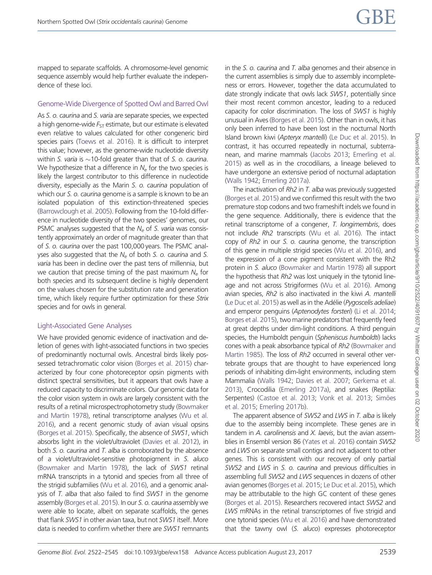mapped to separate scaffolds. A chromosome-level genomic sequence assembly would help further evaluate the independence of these loci.

### Genome-Wide Divergence of Spotted Owl and Barred Owl

As S. o. caurina and S. varia are separate species, we expected a high genome-wide  $F_{ST}$  estimate, but our estimate is elevated even relative to values calculated for other congeneric bird species pairs ([Toews et al. 2016](#page-24-0)). It is difficult to interpret this value; however, as the genome-wide nucleotide diversity within S. varia is  $\sim$  10-fold greater than that of S. o. caurina. We hypothesize that a difference in  $N_e$  for the two species is likely the largest contributor to this difference in nucleotide diversity, especially as the Marin S. o. caurina population of which our S. o. caurina genome is a sample is known to be an isolated population of this extinction-threatened species [\(Barrowclough et al. 2005](#page-21-0)). Following from the 10-fold difference in nucleotide diversity of the two species' genomes, our PSMC analyses suggested that the  $N_e$  of S. varia was consistently approximately an order of magnitude greater than that of S. o. caurina over the past 100,000 years. The PSMC analyses also suggested that the  $N_e$  of both S. o. caurina and S. varia has been in decline over the past tens of millennia, but we caution that precise timing of the past maximum  $N_{\rm e}$  for both species and its subsequent decline is highly dependent on the values chosen for the substitution rate and generation time, which likely require further optimization for these Strix species and for owls in general.

### Light-Associated Gene Analyses

We have provided genomic evidence of inactivation and deletion of genes with light-associated functions in two species of predominantly nocturnal owls. Ancestral birds likely possessed tetrachromatic color vision [\(Borges et al. 2015\)](#page-22-0) characterized by four cone photoreceptor opsin pigments with distinct spectral sensitivities, but it appears that owls have a reduced capacity to discriminate colors. Our genomic data for the color vision system in owls are largely consistent with the results of a retinal microspectrophotometry study ([Bowmaker](#page-22-0) [and Martin 1978](#page-22-0)), retinal transcriptome analyses [\(Wu et al.](#page-25-0) [2016\)](#page-25-0), and a recent genomic study of avian visual opsins [\(Borges et al. 2015\)](#page-22-0). Specifically, the absence of SWS1, which absorbs light in the violet/ultraviolet [\(Davies et al. 2012\)](#page-22-0), in both S. o. caurina and T. alba is corroborated by the absence of a violet/ultraviolet-sensitive photopigment in S. aluco [\(Bowmaker and Martin 1978\)](#page-22-0), the lack of SWS1 retinal mRNA transcripts in a tytonid and species from all three of the strigid subfamilies [\(Wu et al. 2016\)](#page-25-0), and a genomic analysis of T. alba that also failed to find SWS1 in the genome assembly [\(Borges et al. 2015\)](#page-22-0). In our S. o. caurina assembly we were able to locate, albeit on separate scaffolds, the genes that flank SWS1 in other avian taxa, but not SWS1 itself. More data is needed to confirm whether there are SWS1 remnants in the S. o. caurina and T. alba genomes and their absence in the current assemblies is simply due to assembly incompleteness or errors. However, together the data accumulated to date strongly indicate that owls lack SWS1, potentially since their most recent common ancestor, leading to a reduced capacity for color discrimination. The loss of SWS1 is highly unusual in Aves [\(Borges et al. 2015](#page-22-0)). Other than in owls, it has only been inferred to have been lost in the nocturnal North Island brown kiwi (Apteryx mantelli) [\(Le Duc et al. 2015\)](#page-23-0). In contrast, it has occurred repeatedly in nocturnal, subterranean, and marine mammals ([Jacobs 2013](#page-23-0); [Emerling et al.](#page-22-0) [2015\)](#page-22-0) as well as in the crocodilians, a lineage believed to have undergone an extensive period of nocturnal adaptation [\(Walls 1942](#page-24-0); [Emerling 2017a](#page-22-0)).

The inactivation of Rh2 in T. alba was previously suggested [\(Borges et al. 2015\)](#page-22-0) and we confirmed this result with the two premature stop codons and two frameshift indels we found in the gene sequence. Additionally, there is evidence that the retinal transcriptome of a congener, T. longimembris, does not include Rh2 transcripts ([Wu et al. 2016\)](#page-25-0). The intact copy of Rh2 in our S. o. caurina genome, the transcription of this gene in multiple strigid species [\(Wu et al. 2016](#page-25-0)), and the expression of a cone pigment consistent with the Rh2 protein in S. aluco [\(Bowmaker and Martin 1978](#page-22-0)) all support the hypothesis that Rh2 was lost uniquely in the tytonid lineage and not across Strigiformes [\(Wu et al. 2016\)](#page-25-0). Among avian species, Rh2 is also inactivated in the kiwi A. mantelli [\(Le Duc et al. 2015\)](#page-23-0) as well as in the Adélie ( $Pyqoscelis adeliae$ ) and emperor penguins (Aptenodytes forsteri) [\(Li et al. 2014](#page-23-0); [Borges et al. 2015\)](#page-22-0), two marine predators that frequently feed at great depths under dim-light conditions. A third penguin species, the Humboldt penguin (Spheniscus humboldti) lacks cones with a peak absorbance typical of Rh2 [\(Bowmaker and](#page-22-0) [Martin 1985](#page-22-0)). The loss of Rh2 occurred in several other vertebrate groups that are thought to have experienced long periods of inhabiting dim-light environments, including stem Mammalia ([Walls 1942](#page-24-0); [Davies et al. 2007](#page-22-0); [Gerkema et al.](#page-23-0) [2013\)](#page-23-0), Crocodilia [\(Emerling 2017a](#page-22-0)), and snakes (Reptilia: Serpentes) [\(Castoe et al. 2013](#page-22-0); [Vonk et al. 2013](#page-24-0); [Sim](#page-24-0)õ[es](#page-24-0) [et al. 2015;](#page-24-0) [Emerling 2017b\)](#page-22-0).

The apparent absence of SWS2 and LWS in T. alba is likely due to the assembly being incomplete. These genes are in tandem in  $A$ . carolinensis and  $X$ . laevis, but the avian assemblies in Ensembl version 86 [\(Yates et al. 2016](#page-25-0)) contain SWS2 and LWS on separate small contigs and not adjacent to other genes. This is consistent with our recovery of only partial SWS2 and LWS in S. o. caurina and previous difficulties in assembling full SWS2 and LWS sequences in dozens of other avian genomes ([Borges et al. 2015;](#page-22-0) [Le Duc et al. 2015](#page-23-0)), which may be attributable to the high GC content of these genes [\(Borges et al. 2015](#page-22-0)). Researchers recovered intact SWS2 and LWS mRNAs in the retinal transcriptomes of five strigid and one tytonid species ([Wu et al. 2016](#page-25-0)) and have demonstrated that the tawny owl (S. aluco) expresses photoreceptor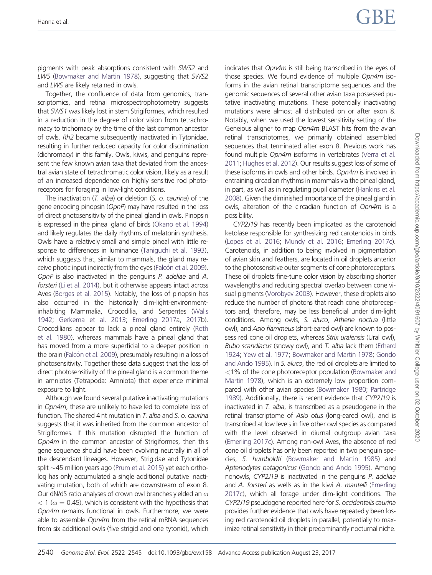pigments with peak absorptions consistent with SWS2 and LWS ([Bowmaker and Martin 1978](#page-22-0)), suggesting that SWS2 and LWS are likely retained in owls.

Together, the confluence of data from genomics, transcriptomics, and retinal microspectrophotometry suggests that SWS1 was likely lost in stem Strigiformes, which resulted in a reduction in the degree of color vision from tetrachromacy to trichomacy by the time of the last common ancestor of owls. Rh2 became subsequently inactivated in Tytonidae, resulting in further reduced capacity for color discrimination (dichromacy) in this family. Owls, kiwis, and penguins represent the few known avian taxa that deviated from the ancestral avian state of tetrachromatic color vision, likely as a result of an increased dependence on highly sensitive rod photoreceptors for foraging in low-light conditions.

The inactivation (T. alba) or deletion (S. o. caurina) of the gene encoding pinopsin (OpnP) may have resulted in the loss of direct photosensitivity of the pineal gland in owls. Pinopsin is expressed in the pineal gland of birds [\(Okano et al. 1994\)](#page-24-0) and likely regulates the daily rhythms of melatonin synthesis. Owls have a relatively small and simple pineal with little response to differences in luminance [\(Taniguchi et al. 1993](#page-24-0)), which suggests that, similar to mammals, the gland may receive photic input indirectly from the eyes (Falcón et al. 2009). OpnP is also inactivated in the penguins P. adeliae and A. forsteri ([Li et al. 2014\)](#page-23-0), but it otherwise appears intact across Aves [\(Borges et al. 2015](#page-22-0)). Notably, the loss of pinopsin has also occurred in the historically dim-light-environmentinhabiting Mammalia, Crocodilia, and Serpentes ([Walls](#page-24-0) [1942;](#page-24-0) [Gerkema et al. 2013](#page-23-0); [Emerling 2017](#page-22-0)a, [2017](#page-22-0)b). Crocodilians appear to lack a pineal gland entirely [\(Roth](#page-24-0) [et al. 1980\)](#page-24-0), whereas mammals have a pineal gland that has moved from a more superficial to a deeper position in the brain (Falcón et al. 2009), presumably resulting in a loss of photosensitivity. Together these data suggest that the loss of direct photosensitivity of the pineal gland is a common theme in amniotes (Tetrapoda: Amniota) that experience minimal exposure to light.

Although we found several putative inactivating mutations in Opn4m, these are unlikely to have led to complete loss of function. The shared 4 nt mutation in T. alba and S. o. caurina suggests that it was inherited from the common ancestor of Strigiformes. If this mutation disrupted the function of Opn4m in the common ancestor of Strigiformes, then this gene sequence should have been evolving neutrally in all of the descendant lineages. However, Strigidae and Tytonidae split  $\sim$ 45 million years ago [\(Prum et al. 2015](#page-24-0)) yet each ortholog has only accumulated a single additional putative inactivating mutation, both of which are downstream of exon 8. Our dN/dS ratio analyses of crown owl branches yielded an  $\omega$  $<$  1 ( $\omega$  = 0.45), which is consistent with the hypothesis that Opn4m remains functional in owls. Furthermore, we were able to assemble Opn4m from the retinal mRNA sequences from six additional owls (five strigid and one tytonid), which indicates that Opn4m is still being transcribed in the eyes of those species. We found evidence of multiple Opn4m isoforms in the avian retinal transcriptome sequences and the genomic sequences of several other avian taxa possessed putative inactivating mutations. These potentially inactivating mutations were almost all distributed on or after exon 8. Notably, when we used the lowest sensitivity setting of the Geneious aligner to map Opn4m BLAST hits from the avian retinal transcriptomes, we primarily obtained assembled sequences that terminated after exon 8. Previous work has found multiple Opn4m isoforms in vertebrates [\(Verra et al.](#page-24-0) [2011;](#page-24-0) [Hughes et al. 2012](#page-23-0)). Our results suggest loss of some of these isoforms in owls and other birds. Opn4m is involved in entraining circadian rhythms in mammals via the pineal gland, in part, as well as in regulating pupil diameter [\(Hankins et al.](#page-23-0) [2008\)](#page-23-0). Given the diminished importance of the pineal gland in owls, alteration of the circadian function of Opn4m is a possibility.

CYP2J19 has recently been implicated as the carotenoid ketolase responsible for synthesizing red carotenoids in birds [\(Lopes et al. 2016;](#page-24-0) [Mundy et al. 2016](#page-24-0); [Emerling 2017c\)](#page-22-0). Carotenoids, in addition to being involved in pigmentation of avian skin and feathers, are located in oil droplets anterior to the photosensitive outer segments of cone photoreceptors. These oil droplets fine-tune color vision by absorbing shorter wavelengths and reducing spectral overlap between cone visual pigments [\(Vorobyev 2003](#page-24-0)). However, these droplets also reduce the number of photons that reach cone photoreceptors and, therefore, may be less beneficial under dim-light conditions. Among owls, S. aluco, Athene noctua (little owl), and Asio flammeus (short-eared owl) are known to possess red cone oil droplets, whereas Strix uralensis (Ural owl), Bubo scandiacus (snowy owl), and T. alba lack them ([Erhard](#page-22-0) [1924;](#page-22-0) [Yew et al. 1977](#page-25-0); [Bowmaker and Martin 1978;](#page-22-0) [Gondo](#page-23-0) [and Ando 1995\)](#page-23-0). In S. aluco, the red oil droplets are limited to <1% of the cone photoreceptor population ([Bowmaker and](#page-22-0) [Martin 1978](#page-22-0)), which is an extremely low proportion compared with other avian species [\(Bowmaker 1980;](#page-22-0) [Partridge](#page-24-0) [1989\)](#page-24-0). Additionally, there is recent evidence that CYP2J19 is inactivated in T. alba, is transcribed as a pseudogene in the retinal transcriptome of Asio otus (long-eared owl), and is transcribed at low levels in five other owl species as compared with the level observed in diurnal outgroup avian taxa [\(Emerling 2017c\)](#page-22-0). Among non-owl Aves, the absence of red cone oil droplets has only been reported in two penguin species, S. humboldti [\(Bowmaker and Martin 1985](#page-22-0)) and Aptenodytes patagonicus [\(Gondo and Ando 1995](#page-23-0)). Among nonowls, CYP2J19 is inactivated in the penguins P. adeliae and A. forsteri as wells as in the kiwi A. mantelli [\(Emerling](#page-22-0) [2017c\)](#page-22-0), which all forage under dim-light conditions. The CYP2J19 pseudogene reported here for S. occidentalis caurina provides further evidence that owls have repeatedly been losing red carotenoid oil droplets in parallel, potentially to maximize retinal sensitivity in their predominantly nocturnal niche.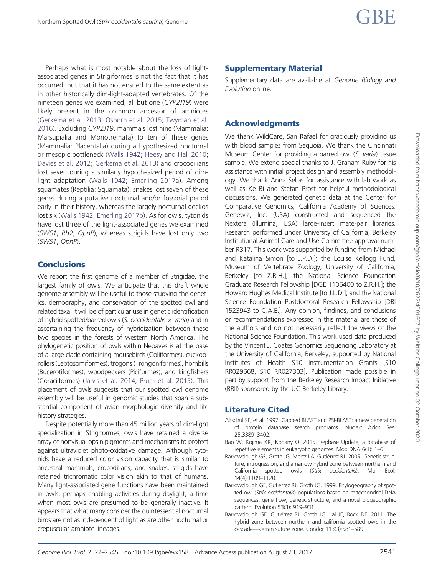<span id="page-21-0"></span>Perhaps what is most notable about the loss of lightassociated genes in Strigiformes is not the fact that it has occurred, but that it has not ensued to the same extent as in other historically dim-light-adapted vertebrates. Of the nineteen genes we examined, all but one (CYP2J19) were likely present in the common ancestor of amniotes [\(Gerkema et al. 2013;](#page-23-0) [Osborn et al. 2015](#page-24-0); [Twyman et al.](#page-24-0) [2016\)](#page-24-0). Excluding CYP2J19, mammals lost nine (Mammalia: Marsupialia and Monotremata) to ten of these genes (Mammalia: Placentalia) during a hypothesized nocturnal or mesopic bottleneck [\(Walls 1942](#page-24-0); [Heesy and Hall 2010;](#page-23-0) [Davies et al. 2012](#page-22-0); [Gerkema et al. 2013\)](#page-23-0) and crocodilians lost seven during a similarly hypothesized period of dimlight adaptation ([Walls 1942](#page-24-0); [Emerling 2017a](#page-22-0)). Among squamates (Reptilia: Squamata), snakes lost seven of these genes during a putative nocturnal and/or fossorial period early in their history, whereas the largely nocturnal geckos lost six [\(Walls 1942;](#page-24-0) [Emerling 2017b\)](#page-22-0). As for owls, tytonids have lost three of the light-associated genes we examined (SWS1, Rh2, OpnP), whereas strigids have lost only two (SWS1, OpnP).

## **Conclusions**

We report the first genome of a member of Strigidae, the largest family of owls. We anticipate that this draft whole genome assembly will be useful to those studying the genetics, demography, and conservation of the spotted owl and related taxa. It will be of particular use in genetic identification of hybrid spotted/barred owls (S. *occcidentalis*  $\times$  *varia*) and in ascertaining the frequency of hybridization between these two species in the forests of western North America. The phylogenetic position of owls within Neoaves is at the base of a large clade containing mousebirds (Coliiformes), cuckoorollers (Leptosomiformes), trogons (Trongoniformes), hornbills (Bucerotiformes), woodpeckers (Piciformes), and kingfishers (Coraciiformes) [\(Jarvis et al. 2014](#page-23-0); [Prum et al. 2015\)](#page-24-0). This placement of owls suggests that our spotted owl genome assembly will be useful in genomic studies that span a substantial component of avian morphologic diversity and life history strategies.

Despite potentially more than 45 million years of dim-light specialization in Strigiformes, owls have retained a diverse array of nonvisual opsin pigments and mechanisms to protect against ultraviolet photo-oxidative damage. Although tytonids have a reduced color vision capacity that is similar to ancestral mammals, crocodilians, and snakes, strigids have retained trichromatic color vision akin to that of humans. Many light-associated gene functions have been maintained in owls, perhaps enabling activities during daylight, a time when most owls are presumed to be generally inactive. It appears that what many consider the quintessential nocturnal birds are not as independent of light as are other nocturnal or crepuscular amniote lineages.

### Supplementary Material

Supplementary data are available at Genome Biology and Evolution online.

### Acknowledgments

We thank WildCare, San Rafael for graciously providing us with blood samples from Sequoia. We thank the Cincinnati Museum Center for providing a barred owl (S. varia) tissue sample. We extend special thanks to J. Graham Ruby for his assistance with initial project design and assembly methodology. We thank Anna Sellas for assistance with lab work as well as Ke Bi and Stefan Prost for helpful methodological discussions. We generated genetic data at the Center for Comparative Genomics, California Academy of Sciences. Genewiz, Inc. (USA) constructed and sequenced the Nextera (Illumina, USA) large-insert mate-pair libraries. Research performed under University of California, Berkeley Institutional Animal Care and Use Committee approval number R317. This work was supported by funding from Michael and Katalina Simon [to J.P.D.]; the Louise Kellogg Fund, Museum of Vertebrate Zoology, University of California, Berkeley [to Z.R.H.]; the National Science Foundation Graduate Research Fellowship [DGE 1106400 to Z.R.H.]; the Howard Hughes Medical Institute [to J.L.D.]; and the National Science Foundation Postdoctoral Research Fellowship [DBI 1523943 to C.A.E.]. Any opinion, findings, and conclusions or recommendations expressed in this material are those of the authors and do not necessarily reflect the views of the National Science Foundation. This work used data produced by the Vincent J. Coates Genomics Sequencing Laboratory at the University of California, Berkeley, supported by National Institutes of Health S10 Instrumentation Grants [S10 RR029668, S10 RR027303]. Publication made possible in part by support from the Berkeley Research Impact Initiative (BRII) sponsored by the UC Berkeley Library.

### Literature Cited

- Altschul SF, et al. 1997. Gapped BLAST and PSI-BLAST: a new generation of protein database search programs. Nucleic Acids Res. 25:3389–3402.
- Bao W, Kojima KK, Kohany O. 2015. Repbase Update, a database of repetitive elements in eukaryotic genomes. Mob DNA 6(1): 1–6.
- Barrowclough GF, Groth JG, Mertz LA, Gutiérrez RJ. 2005. Genetic structure, introgression, and a narrow hybrid zone between northern and California spotted owls (Strix occidentalis). Mol Ecol. 14(4):1109–1120.
- Barrowclough GF, Gutierrez RJ, Groth JG. 1999. Phylogeography of spotted owl (Strix occidentalis) populations based on mitochondrial DNA sequences: gene flow, genetic structure, and a novel biogeographic pattern. Evolution 53(3): 919–931.
- Barrowclough GF, Gutiérrez RJ, Groth JG, Lai JE, Rock DF. 2011. The hybrid zone between northern and california spotted owls in the cascade—sierran suture zone. Condor 113(3):581–589.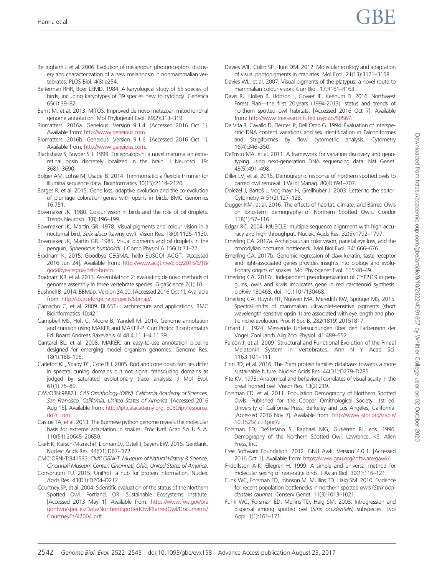- <span id="page-22-0"></span>Bellingham J, et al. 2006. Evolution of melanopsin photoreceptors: discovery and characterization of a new melanopsin in nonmammalian vertebrates. PLOS Biol. 4(8):e254.
- Belterman RHR, Boer LEMD. 1984. A karyological study of 55 species of birds, including karyotypes of 39 species new to cytology. Genetica 65(1):39–82.
- Bernt M, et al. 2013. MITOS: Improved de novo metazoan mitochondrial genome annotation. Mol Phylogenet Evol. 69(2):313–319.
- Biomatters. 2016a. Geneious. Version 9.1.4. [Accessed 2016 Oct 1]. Available from: [http://www.geneious.com.](http://www.geneious.com)
- Biomatters. 2016b. Geneious. Version 9.1.6. [Accessed 2016 Oct 1]. Available from: [http://www.geneious.com.](http://www.geneious.com)
- Blackshaw S, Snyder SH. 1999. Encephalopsin: a novel mammalian extraretinal opsin discretely localized in the brain. J Neurosci. 19: 3681–3690.
- Bolger AM, Lohse M, Usadel B. 2014. Trimmomatic: a flexible trimmer for Illumina sequence data. Bioinformatics 30(15):2114–2120.
- Borges R, et al. 2015. Gene loss, adaptive evolution and the co-evolution of plumage coloration genes with opsins in birds. BMC Genomics 16:751.
- Bowmaker JK. 1980. Colour vision in birds and the role of oil droplets. Trends Neurosci. 3(8):196–199.
- Bowmaker JK, Martin GR. 1978. Visual pigments and colour vision in a nocturnal bird, Strix aluco (tawny owl). Vision Res. 18(9):1125–1130.
- Bowmaker JK, Martin GR. 1985. Visual pigments and oil droplets in the penguin, Spheniscus humboldti. J Comp Physiol A 156(1):71–77.
- Bradnam K. 2015. Goodbye CEGMA, hello BUSCO! ACGT. [Accessed 2016 Jun 24]. Available from: [http://www.acgt.me/blog/2015/5/18/](http://www.acgt.me/blog/2015/5/18/goodbye-cegma-hello-busco) [goodbye-cegma-hello-busco.](http://www.acgt.me/blog/2015/5/18/goodbye-cegma-hello-busco)
- Bradnam KR, et al. 2013. Assemblathon 2: evaluating de novo methods of genome assembly in three vertebrate species. GigaScience 2(1):10.
- Bushnell B. 2014. BBMap. Version 34.00. [Accessed 2016 Oct 1]. Available from: [http://sourceforge.net/projects/bbmap/.](http://sourceforge.net/projects/bbmap/)
- Camacho C, et al. 2009. BLAST+: architecture and applications. BMC Bioinformatics 10:421.
- Campbell MS, Holt C, Moore B, Yandell M. 2014. Genome annotation and curation using MAKER and MAKER-P. Curr Protoc Bioinformatics Ed. Board Andreas Baxevanis Al 48:4.11.1–4.11.39.
- Cantarel BL, et al. 2008. MAKER: an easy-to-use annotation pipeline designed for emerging model organism genomes. Genome Res. 18(1):188–196.
- Carleton KL, Spady TC, Cote RH. 2005. Rod and cone opsin families differ in spectral tuning domains but not signal transducing domains as judged by saturated evolutionary trace analysis. J Mol Evol. 61(1):75–89.
- CAS:ORN:98821. CAS Ornithology (ORN). California Academy of Sciences, San Francisco, California, United States of America. [Accessed 2016 Aug 15]. Available from: [http://ipt.calacademy.org: 8080/ipt/resource.](http://ipt.calacademy.org: 8080/ipt/resource.do?r=orn)  $do?r = orn.$  $do?r = orn.$  $do?r = orn.$  $do?r = orn.$
- Castoe TA, et al. 2013. The Burmese python genome reveals the molecular basis for extreme adaptation in snakes. Proc Natl Acad Sci U S A. 110(51):20645–20650.
- Clark K, Karsch-Mizrachi I, Lipman DJ, Ostell J, Sayers EW. 2016. GenBank. Nucleic Acids Res. 44(D1):D67–D72.
- CMC:ORNI-T:B41533. CMC ORNI-T. Museum of Natural History & Science, Cincinnati Museum Center, Cincinnati, Ohio, United States of America.
- Consortium TU. 2015. UniProt: a hub for protein information. Nucleic Acids Res. 43(D1):D204–D212.
- Courtney SP, et al. 2004. Scientific evaluation of the status of the Northern Spotted Owl. Portland, OR: Sustainable Ecosystems Institute. [Accessed 2013 May 1]. Available from: [https://www.fws.gov/ore](https://www.fws.gov/oregonfwo/species/Data/NorthernSpottedOwl/BarredOwl/Documents/CourtneyEtAl2004.pdf) [gonfwo/species/Data/NorthernSpottedOwl/BarredOwl/Documents/](https://www.fws.gov/oregonfwo/species/Data/NorthernSpottedOwl/BarredOwl/Documents/CourtneyEtAl2004.pdf) [CourtneyEtAl2004.pdf](https://www.fws.gov/oregonfwo/species/Data/NorthernSpottedOwl/BarredOwl/Documents/CourtneyEtAl2004.pdf).
- Davies WIL, Collin SP, Hunt DM. 2012. Molecular ecology and adaptation of visual photopigments in craniates. Mol Ecol. 21(13):3121–3158.
- Davies WL, et al. 2007. Visual pigments of the platypus: a novel route to mammalian colour vision. Curr Biol. 17:R161–R163.
- Davis RJ, Hollen B, Hobson J, Gower JE, Keenum D. 2016. Northwest Forest Plan—the first 20 years (1994-2013): status and trends of northern spotted owl habitats. [Accessed 2016 Oct 7]. Available from: <http://www.treesearch.fs.fed.us/pubs/50567>.
- De Vita R, Cavallo D, Eleuteri P, Dell'Omo G. 1994. Evaluation of interspecific DNA content variations and sex identification in Falconiformes and Strigiformes by flow cytometric analysis. Cytometry 16(4):346–350.
- DePristo MA, et al. 2011. A framework for variation discovery and genotyping using next-generation DNA sequencing data. Nat Genet. 43(5):491–498.
- Diller LV, et al. 2016. Demographic response of northern spotted owls to barred owl removal. J Wildl Manag. 80(4):691–707.
- Doležel J, Bartoš J, Voglmayr H, Greilhuber J. 2003. Letter to the editor. Cytometry A 51(2):127–128.
- Dugger KM, et al. 2016. The effects of habitat, climate, and Barred Owls on long-term demography of Northern Spotted Owls. Condor 118(1):57–116.
- Edgar RC. 2004. MUSCLE: multiple sequence alignment with high accuracy and high throughput. Nucleic Acids Res. 32(5):1792–1797.
- Emerling CA. 2017a. Archelosaurian color vision, parietal eye loss, and the crocodylian nocturnal bottleneck. Mol Biol Evol. 34: 666–676.
- Emerling CA. 2017b. Genomic regression of claw keratin, taste receptor and light-associated genes provides insights into biology and evolutionary origins of snakes. Mol Phylogenet Evol. 115:40–49.
- Emerling CA. 2017c. Independent pseudogenization of CYP2J19 in penguins, owls and kiwis implicates gene in red carotenoid synthesis. bioRxiv 130468. doi: 10.1101/130468.
- Emerling CA, Huynh HT, Nguyen MA, Meredith RW, Springer MS. 2015. Spectral shifts of mammalian ultraviolet-sensitive pigments (short wavelength-sensitive opsin 1) are associated with eye length and photic niche evolution. Proc R Soc B. 282(1819):20151817.
- Erhard H. 1924. Messende Untersuchungen über den Farbensinn der Vögel. Zool Jahrb Allg Zool Physiol. 41:489-552.
- Falcón J, et al. 2009. Structural and Functional Evolution of the Pineal Melatonin System in Vertebrates. Ann N Y Acad Sci. 1163:101–111.
- Finn RD, et al. 2016. The Pfam protein families database: towards a more sustainable future. Nucleic Acids Res. 44(D1):D279–D285.
- Fite KV. 1973. Anatomical and behavioral correlates of visual acuity in the great horned owl. Vision Res. 13(2):219.
- Forsman ED, et al. 2011. Population Demography of Northern Spotted Owls: Published for the Cooper Ornithological Society. 1st ed. University of California Press: Berkeley and Los Angeles, California. [Accessed 2016 Nov 7]. Available from: [http://www.jstor.org/stable/](http://www.jstor.org/stable/10.1525/j.ctt1pnr7z) [10.1525/j.ctt1pnr7z.](http://www.jstor.org/stable/10.1525/j.ctt1pnr7z)
- Forsman ED, DeStefano S, Raphael MG, Gutiérrez RJ, eds. 1996. Demography of the Northern Spotted Owl. Lawrence, KS: Allen Press, Inc.
- Free Software Foundation. 2012. GNU Awk. Version 4.0.1. [Accessed 2016 Oct 1]. Available from: [https://www.gnu.org/software/gawk/.](https://www.gnu.org/software/gawk/)
- Fridolfsson A-K, Ellegren H. 1999. A simple and universal method for molecular sexing of non-ratite birds. J Avian Biol. 30(1):116–121.
- Funk WC, Forsman ED, Johnson M, Mullins TD, Haig SM. 2010. Evidence for recent population bottlenecks in northern spotted owls (Strix occidentalis caurina). Conserv Genet. 11(3):1013–1021.
- Funk WC, Forsman ED, Mullins TD, Haig SM. 2008. Introgression and dispersal among spotted owl (Strix occidentalis) subspecies. Evol Appl. 1(1):161–171.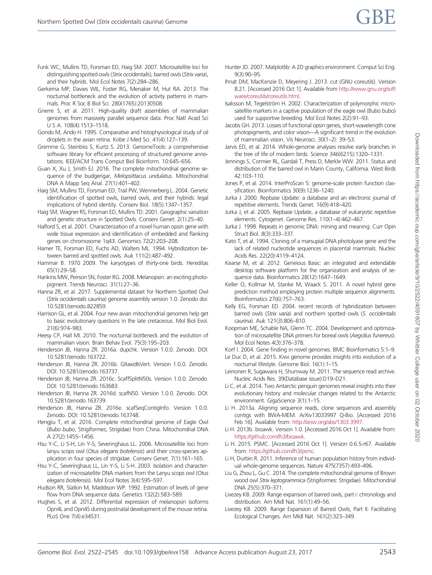- <span id="page-23-0"></span>Funk WC, Mullins TD, Forsman ED, Haig SM. 2007. Microsatellite loci for distinguishing spotted owls (Strix occidentalis), barred owls (Strix varia), and their hybrids. Mol Ecol Notes 7(2):284–286.
- Gerkema MP, Davies WIL, Foster RG, Menaker M, Hut RA. 2013. The nocturnal bottleneck and the evolution of activity patterns in mammals. Proc R Soc B Biol Sci. 280(1765):20130508.
- Gnerre S, et al. 2011. High-quality draft assemblies of mammalian genomes from massively parallel sequence data. Proc Natl Acad Sci U S A. 108(4):1513–1518.
- Gondo M, Ando H. 1995. Comparative and histophysiological study of oil droplets in the avian retina. Kobe J Med Sci. 41(4):127–139.
- Gremme G, Steinbiss S, Kurtz S. 2013. GenomeTools: a comprehensive software library for efficient processing of structured genome annotations. IEEE/ACM Trans Comput Biol Bioinform. 10:645–656.
- Guan X, Xu J, Smith EJ. 2016. The complete mitochondrial genome sequence of the budgerigar, Melopsittacus undulatus. Mitochondrial DNA A Mapp Seq Anal. 27(1):401–402.
- Haig SM, Mullins TD, Forsman ED, Trail PW, Wennerberg L. 2004. Genetic identification of spotted owls, barred owls, and their hybrids: legal implications of hybrid identity. Conserv Biol. 18(5):1347–1357.
- Haig SM, Wagner RS, Forsman ED, Mullins TD. 2001. Geographic variation and genetic structure in Spotted Owls. Conserv Genet. 2(1):25–40.
- Halford S, et al. 2001. Characterization of a novel human opsin gene with wide tissue expression and identification of embedded and flanking genes on chromosome 1q43. Genomics 72(2):203–208.
- Hamer TE, Forsman ED, Fuchs AD, Walters ML. 1994. Hybridization between barred and spotted owls. Auk 111(2):487–492.
- Hammar B. 1970 2009. The karyotypes of thirty-one birds. Hereditas 65(1):29–58.
- Hankins MW, Peirson SN, Foster RG. 2008. Melanopsin: an exciting photopigment. Trends Neurosci. 31(1):27–36.
- Hanna ZR, et al. 2017. Supplemental dataset for Northern Spotted Owl (Strix occidentalis caurina) genome assembly version 1.0. Zenodo doi: 10.5281/zenodo.822859.
- Harrison GL, et al. 2004. Four new avian mitochondrial genomes help get to basic evolutionary questions in the late cretaceous. Mol Biol Evol. 21(6):974–983.
- Heesy CP, Hall MI. 2010. The nocturnal bottleneck and the evolution of mammalian vision. Brain Behav Evol. 75(3):195–203.
- Henderson JB, Hanna ZR. 2016a. dupchk. Version 1.0.0. Zenodo. DOI: 10.5281/zenodo.163722.
- Henderson JB, Hanna ZR. 2016b. GItaxidIsVert. Version 1.0.0. Zenodo. DOI: 10.5281/zenodo.163737.
- Henderson JB, Hanna ZR. 2016c. ScaffSplitN50s. Version 1.0.0. Zenodo. DOI: 10.5281/zenodo.163683.
- Henderson JB, Hanna ZR. 2016d. scafN50. Version 1.0.0. Zenodo. DOI: 10.5281/zenodo.163739.
- Henderson JB, Hanna ZR. 2016e. scafSeqContigInfo. Version 1.0.0. Zenodo. DOI: 10.5281/zenodo.163748.
- Hengjiu T, et al. 2016. Complete mitochondrial genome of Eagle Owl (Bubo bubo, Strigiformes; Strigidae) from China. Mitochondrial DNA A 27(2):1455–1456.
- Hsu Y-C, Li S-H, Lin Y-S, Severinghaus LL. 2006. Microsatellite loci from lanyu scops owl (Otus elegans botelensis) and their cross-species application in four species of strigidae. Conserv Genet. 7(1):161–165.
- Hsu Y-C, Severinghaus LL, Lin Y-S, Li S-H. 2003. Isolation and characterization of microsatellite DNA markers from the Lanyu scops owl (Otus elegans botelensis). Mol Ecol Notes 3(4):595–597.
- Hudson RR, Slatkin M, Maddison WP. 1992. Estimation of levels of gene flow from DNA sequence data. Genetics 132(2):583–589.
- Hughes S, et al. 2012. Differential expression of melanopsin isoforms Opn4L and Opn4S during postnatal development of the mouse retina. PLoS One 7(4):e34531.
- Hunter JD. 2007. Matplotlib: A 2D graphics environment. Comput Sci Eng. 9(3):90–95.
- Ihnat DM, MacKenzie D, Meyering J. 2013. cut (GNU coreutils). Version 8.21. [Accessed 2016 Oct 1]. Available from [http://www.gnu.org/soft](http://www.gnu.org/software/coreutils/coreutils.html) [ware/coreutils/coreutils.html](http://www.gnu.org/software/coreutils/coreutils.html).
- Isaksson M, Tegelström H, 2002. Characterization of polymorphic microsatellite markers in a captive population of the eagle owl (Bubo bubo) used for supportive breeding. Mol Ecol Notes 2(2):91–93.
- Jacobs GH. 2013. Losses of functional opsin genes, short-wavelength cone photopigments, and color vision—A significant trend in the evolution of mammalian vision. Vis Neurosci. 30(1–2): 39–53.
- Jarvis ED, et al. 2014. Whole-genome analyses resolve early branches in the tree of life of modern birds. Science 346(6215):1320–1331.
- Jennings S, Cormier RL, Gardali T, Press D, Merkle WW. 2011. Status and distribution of the barred owl in Marin County, California. West Birds 42:103–110.
- Jones P, et al. 2014. InterProScan 5: genome-scale protein function classification. Bioinformatics 30(9):1236–1240.
- Jurka J. 2000. Repbase Update: a database and an electronic journal of repetitive elements. Trends Genet. 16(9):418–420.
- Jurka J, et al. 2005. Repbase Update, a database of eukaryotic repetitive elements. Cytogenet. Genome Res. 110(1–4):462–467.
- Jurka J. 1998. Repeats in genomic DNA: mining and meaning. Curr Opin Struct Biol. 8(3):333–337.
- Kato T, et al. 1994. Cloning of a marsupial DNA photolyase gene and the lack of related nucleotide sequences in placental mammals. Nucleic Acids Res. 22(20):4119–4124.
- Kearse M, et al. 2012. Geneious Basic: an integrated and extendable desktop software platform for the organization and analysis of sequence data. Bioinformatics 28(12):1647–1649.
- Keller O, Kollmar M, Stanke M, Waack S. 2011. A novel hybrid gene prediction method employing protein multiple sequence alignments. Bioinformatics 27(6):757–763.
- Kelly EG, Forsman ED. 2004. recent records of hybridization between barred owls (Strix varia) and northern spotted owls (S. occidentalis caurina). Auk 121(3):806–810.
- Koopman ME, Schable NA, Glenn TC. 2004. Development and optimization of microsatellite DNA primers for boreal owls (Aegolius funereus). Mol Ecol Notes 4(3):376–378.

Korf I. 2004. Gene finding in novel genomes. BMC Bioinformatics 5:1–9.

- Le Duc D, et al. 2015. Kiwi genome provides insights into evolution of a nocturnal lifestyle. Genome Biol. 16(1):1–15.
- Leinonen R, Sugawara H, Shumway M. 2011. The sequence read archive. Nucleic Acids Res. 39(Database issue):D19–D21.
- Li C, et al. 2014. Two Antarctic penguin genomes reveal insights into their evolutionary history and molecular changes related to the Antarctic environment. GigaScience 3(1):1–15.
- Li H. 2013a. Aligning sequence reads, clone sequences and assembly contigs with BWA-MEM. ArXiv13033997 Q-Bio. [Accessed 2016 Feb 16]. Available from: [http://arxiv.org/abs/1303.3997.](http://arxiv.org/abs/1303.3997)
- Li H. 2013b. bioawk. Version 1.0. [Accessed 2016 Oct 1]. Available from: <https://github.com/lh3/bioawk>.
- Li H. 2015. PSMC. [Accessed 2016 Oct 1]. Version 0.6.5-r67. Available from: [https://github.com/lh3/psmc.](https://github.com/lh3/psmc)
- Li H, Durbin R. 2011. Inference of human population history from individual whole-genome sequences. Nature 475(7357):493–496.
- Liu G, Zhou L, Gu C. 2014. The complete mitochondrial genome of Brown wood owl Strix leptogrammica (Strigiformes: Strigidae). Mitochondrial DNA 25(5):370–371.
- Livezey KB. 2009. Range expansion of barred owls, part i: chronology and distribution. Am Midl Nat. 161(1):49–56.
- Livezey KB. 2009. Range Expansion of Barred Owls, Part II: Facilitating Ecological Changes. Am Midl Nat. 161(2):323–349.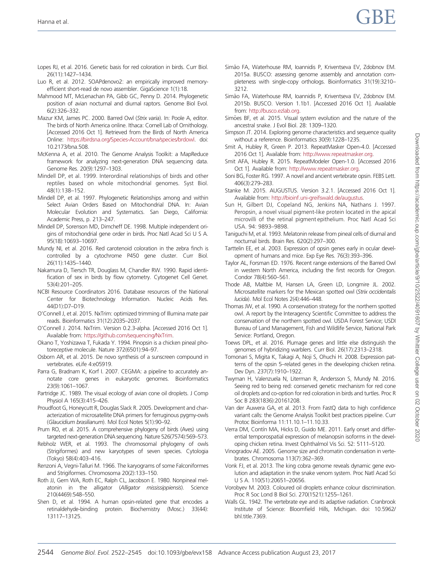- <span id="page-24-0"></span>Lopes RJ, et al. 2016. Genetic basis for red coloration in birds. Curr Biol. 26(11):1427–1434.
- Luo R, et al. 2012. SOAPdenovo2: an empirically improved memoryefficient short-read de novo assembler. GigaScience 1(1):18.
- Mahmood MT, McLenachan PA, Gibb GC, Penny D. 2014. Phylogenetic position of avian nocturnal and diurnal raptors. Genome Biol Evol. 6(2):326–332.
- Mazur KM, James PC. 2000. Barred Owl (Strix varia). In: Poole A, editor. The birds of North America online. Ithaca: Cornell Lab of Ornithology. [Accessed 2016 Oct 1]. Retrieved from the Birds of North America Online: <https://birdsna.org/Species-Account/bna/species/brdowl>. doi: 10.2173/bna.508.
- McKenna A, et al. 2010. The Genome Analysis Toolkit: a MapReduce framework for analyzing next-generation DNA sequencing data. Genome Res. 20(9):1297–1303.
- Mindell DP, et al. 1999. Interordinal relationships of birds and other reptiles based on whole mitochondrial genomes. Syst Biol. 48(1):138–152.
- Mindell DP, et al. 1997. Phylogenetic Relationships among and within Select Avian Orders Based on Mitochondrial DNA. In: Avian Molecular Evolution and Systematics. San Diego, California: Academic Press, p. 213–247.
- Mindell DP, Sorenson MD, Dimcheff DE. 1998. Multiple independent origins of mitochondrial gene order in birds. Proc Natl Acad Sci U S A. 95(18):10693–10697.
- Mundy NI, et al. 2016. Red carotenoid coloration in the zebra finch is controlled by a cytochrome P450 gene cluster. Curr Biol. 26(11):1435–1440.
- Nakamura D, Tiersch TR, Douglass M, Chandler RW. 1990. Rapid identification of sex in birds by flow cytometry. Cytogenet Cell Genet. 53(4):201–205.
- NCBI Resource Coordinators 2016. Database resources of the National Center for Biotechnology Information. Nucleic Acids Res. 44(D1):D7–D19.
- O'Connell J, et al. 2015. NxTrim: optimized trimming of Illumina mate pair reads. Bioinformatics 31(12):2035–2037.
- O'Connell J. 2014. NxTrim. Version 0.2.3-alpha. [Accessed 2016 Oct 1]. Available from: <https://github.com/sequencing/NxTrim>.
- Okano T, Yoshizawa T, Fukada Y. 1994. Pinopsin is a chicken pineal photoreceptive molecule. Nature 372(6501):94–97.
- Osborn AR, et al. 2015. De novo synthesis of a sunscreen compound in vertebrates. eLife 4:e05919.
- Parra G, Bradnam K, Korf I. 2007. CEGMA: a pipeline to accurately annotate core genes in eukaryotic genomes. Bioinformatics 23(9):1061–1067.
- Partridge JC. 1989. The visual ecology of avian cone oil droplets. J Comp Physiol A 165(3):415–426.
- Proudfoot G, Honeycutt R, Douglas Slack R. 2005. Development and characterization of microsatellite DNA primers for ferruginous pygmy-owls (Glaucidium brasilianum). Mol Ecol Notes 5(1):90–92.
- Prum RO, et al. 2015. A comprehensive phylogeny of birds (Aves) using targeted next-generation DNA sequencing. Nature 526(7574):569–573.
- Rebholz WER, et al. 1993. The chromosomal phylogeny of owls (Strigiformes) and new karyotypes of seven species. Cytologia (Tokyo) 58(4):403–416.
- Renzoni A, Vegni-Talluri M. 1966. The karyograms of some Falconiformes and Strigiformes. Chromosoma 20(2):133–150.
- Roth JJ, Gern WA, Roth EC, Ralph CL, Jacobson E. 1980. Nonpineal melatonin in the alligator (Alligator mississippiensis). Science 210(4469):548–550.
- Shen D, et al. 1994. A human opsin-related gene that encodes a retinaldehyde-binding protein. Biochemistry (Mosc.) 33(44): 13117–13125.
- Simão FA, Waterhouse RM, Ioannidis P, Kriventseva EV, Zdobnov EM, 2015a. BUSCO: assessing genome assembly and annotation completeness with single-copy orthologs. Bioinformatics 31(19):3210– 3212.
- Simão FA, Waterhouse RM, Joannidis P, Kriventseva EV, Zdobnov EM, 2015b. BUSCO. Version 1.1b1. [Accessed 2016 Oct 1]. Available from: [http://busco.ezlab.org.](http://busco.ezlab.org)
- Simões BF, et al. 2015. Visual system evolution and the nature of the ancestral snake. J Evol Biol. 28: 1309–1320.
- Simpson JT. 2014. Exploring genome characteristics and sequence quality without a reference. Bioinformatics 30(9):1228–1235.
- Smit A, Hubley R, Green P. 2013. RepeatMasker Open-4.0. [Accessed 2016 Oct 1]. Available from: [http://www.repeatmasker.org.](http://www.repeatmasker.org)
- Smit AFA, Hubley R. 2015. RepeatModeler Open-1.0. [Accessed 2016 Oct 1]. Available from: <http://www.repeatmasker.org>.
- Soni BG, Foster RG. 1997. A novel and ancient vertebrate opsin. FEBS Lett. 406(3):279–283.
- Stanke M. 2015. AUGUSTUS. Version 3.2.1. [Accessed 2016 Oct 1]. Available from: <http://bioinf.uni-greifswald.de/augustus>.
- Sun H, Gilbert DJ, Copeland NG, Jenkins NA, Nathans J. 1997. Peropsin, a novel visual pigment-like protein located in the apical microvilli of the retinal pigment epithelium. Proc Natl Acad Sci USA. 94: 9893–9898.
- Taniguchi M, et al. 1993. Melatonin release from pineal cells of diurnal and nocturnal birds. Brain Res. 620(2):297–300.
- Tarttelin EE, et al. 2003. Expression of opsin genes early in ocular development of humans and mice. Exp Eye Res. 76(3):393–396.
- Taylor AL, Forsman ED. 1976. Recent range extensions of the Barred Owl in western North America, including the first records for Oregon. Condor 78(4):560–561.
- Thode AB, Maltbie M, Hansen LA, Green LD, Longmire JL. 2002. Microsatellite markers for the Mexican spotted owl (Strix occidentalis lucida). Mol Ecol Notes 2(4):446–448.
- Thomas JW, et al. 1990. A conservation strategy for the northern spotted owl. A report by the Interagency Scientific Committee to address the conservation of the northern spotted owl. USDA Forest Service; USDI Bureau of Land Management, Fish and Wildlife Service, National Park Service: Portland, Oregon.
- Toews DPL, et al. 2016. Plumage genes and little else distinguish the genomes of hybridizing warblers. Curr Biol. 26(17):2313–2318.
- Tomonari S, Migita K, Takagi A, Noji S, Ohuchi H. 2008. Expression patterns of the opsin 5–related genes in the developing chicken retina. Dev Dyn. 237(7):1910–1922.
- Twyman H, Valenzuela N, Literman R, Andersson S, Mundy NI. 2016. Seeing red to being red: conserved genetic mechanism for red cone oil droplets and co-option for red coloration in birds and turtles. Proc R Soc B 283(1836):20161208.
- Van der Auwera GA, et al. 2013. From FastQ data to high confidence variant calls: the Genome Analysis Toolkit best practices pipeline. Curr Protoc Bioinforma 11:11.10.1–11.10.33.
- Verra DM, Contín MA, Hicks D, Guido ME. 2011. Early onset and differential temporospatial expression of melanopsin isoforms in the developing chicken retina. Invest Ophthalmol Vis Sci. 52: 5111–5120.
- Vinogradov AE. 2005. Genome size and chromatin condensation in vertebrates. Chromosoma 113(7):362–369.
- Vonk FJ, et al. 2013. The king cobra genome reveals dynamic gene evolution and adaptation in the snake venom system. Proc Natl Acad Sci U S A. 110(51):20651–20656.
- Vorobyev M. 2003. Coloured oil droplets enhance colour discrimination. Proc R Soc Lond B Biol Sci. 270(1521):1255–1261.
- Walls GL. 1942. The vertebrate eye and its adaptive radiation. Cranbrook Institute of Science: Bloomfield Hills, Michigan. doi: 10.5962/ bhl title 7369